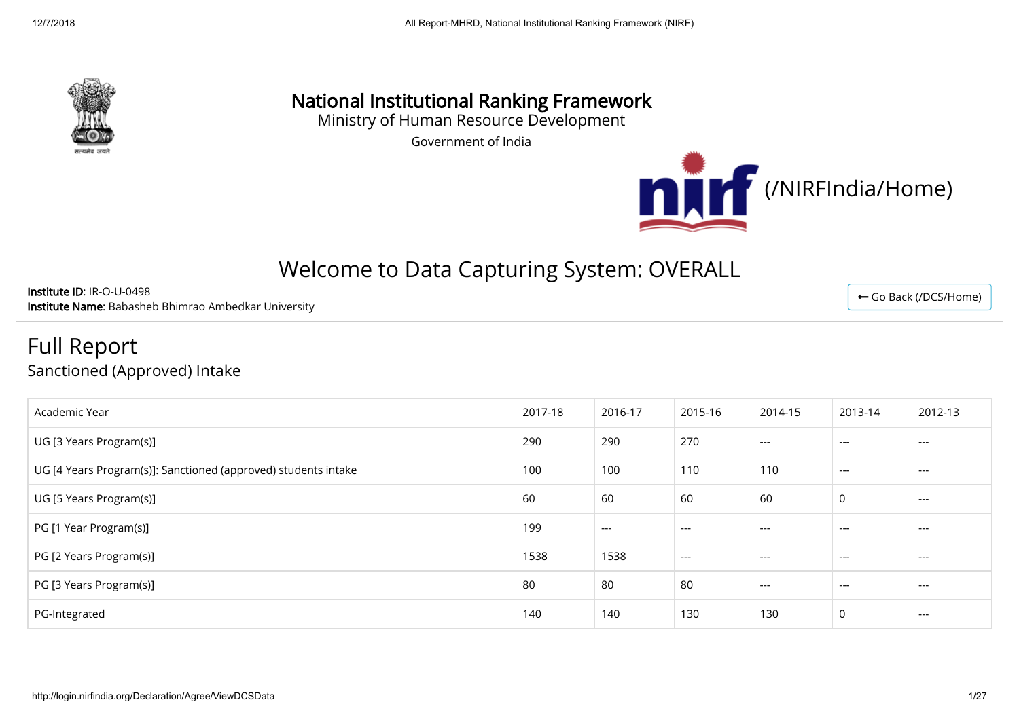

# National Institutional Ranking Framework

Ministry of Human Resource Development

Government of India



# Welcome to Data Capturing System: OVERALL

Institute ID: IR-O-U-0498 Institute Name: Babasheb Bhimrao Ambedkar University

Full Report

Sanctioned (Approved) Intake

| Academic Year                                                  | 2017-18 | 2016-17 | 2015-16 | 2014-15 | 2013-14 | 2012-13 |
|----------------------------------------------------------------|---------|---------|---------|---------|---------|---------|
| UG [3 Years Program(s)]                                        | 290     | 290     | 270     | $---$   | $---$   | $---$   |
| UG [4 Years Program(s)]: Sanctioned (approved) students intake | 100     | 100     | 110     | 110     | $---$   | $---$   |
| UG [5 Years Program(s)]                                        | 60      | 60      | 60      | 60      | 0       | $---$   |
| PG [1 Year Program(s)]                                         | 199     | $---$   | $---$   | $---$   | $---$   | $---$   |
| PG [2 Years Program(s)]                                        | 1538    | 1538    | $---$   | $---$   | $---$   | $---$   |
| PG [3 Years Program(s)]                                        | 80      | 80      | 80      | $---$   | $---$   | $---$   |
| PG-Integrated                                                  | 140     | 140     | 130     | 130     | 0       | $---$   |

← [Go Back \(/DCS/Home\)](http://login.nirfindia.org/DCS/Home)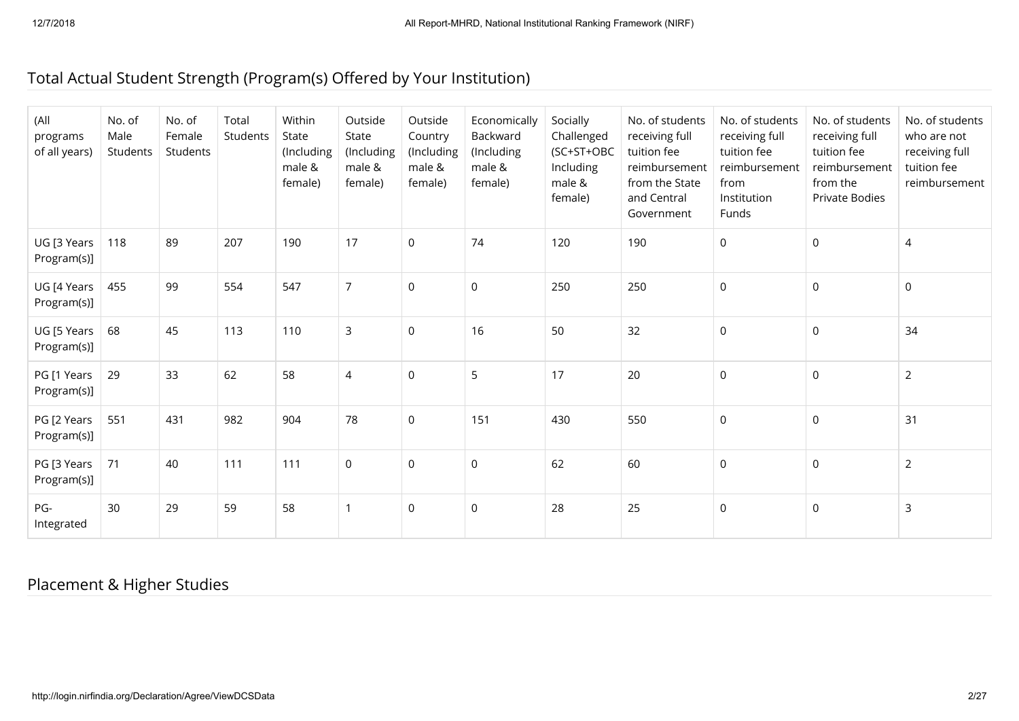### Total Actual Student Strength (Program(s) Offered by Your Institution)

| (All<br>programs<br>of all years) | No. of<br>Male<br>Students | No. of<br>Female<br>Students | Total<br>Students | Within<br>State<br>(Including<br>male &<br>female) | Outside<br>State<br>(Including<br>male &<br>female) | Outside<br>Country<br>(Including<br>male &<br>female) | Economically<br>Backward<br>(Including<br>male &<br>female) | Socially<br>Challenged<br>(SC+ST+OBC<br>Including<br>male &<br>female) | No. of students<br>receiving full<br>tuition fee<br>reimbursement<br>from the State<br>and Central<br>Government | No. of students<br>receiving full<br>tuition fee<br>reimbursement<br>from<br>Institution<br>Funds | No. of students<br>receiving full<br>tuition fee<br>reimbursement<br>from the<br>Private Bodies | No. of students<br>who are not<br>receiving full<br>tuition fee<br>reimbursement |
|-----------------------------------|----------------------------|------------------------------|-------------------|----------------------------------------------------|-----------------------------------------------------|-------------------------------------------------------|-------------------------------------------------------------|------------------------------------------------------------------------|------------------------------------------------------------------------------------------------------------------|---------------------------------------------------------------------------------------------------|-------------------------------------------------------------------------------------------------|----------------------------------------------------------------------------------|
| UG [3 Years<br>Program(s)]        | 118                        | 89                           | 207               | 190                                                | 17                                                  | $\mathsf 0$                                           | 74                                                          | 120                                                                    | 190                                                                                                              | $\mathsf{O}$                                                                                      | $\mathsf{O}\xspace$                                                                             | 4                                                                                |
| UG [4 Years<br>Program(s)]        | 455                        | 99                           | 554               | 547                                                | $\overline{7}$                                      | $\mathsf{O}$                                          | $\mathsf 0$                                                 | 250                                                                    | 250                                                                                                              | $\mathsf{O}$                                                                                      | $\mathsf 0$                                                                                     | $\mathsf{O}$                                                                     |
| UG [5 Years<br>Program(s)]        | 68                         | 45                           | 113               | 110                                                | 3                                                   | $\mathsf{O}$                                          | 16                                                          | 50                                                                     | 32                                                                                                               | $\mathsf{O}\xspace$                                                                               | $\mathsf 0$                                                                                     | 34                                                                               |
| PG [1 Years<br>Program(s)]        | 29                         | 33                           | 62                | 58                                                 | 4                                                   | $\mathbf{0}$                                          | 5                                                           | 17                                                                     | 20                                                                                                               | $\mathsf{O}$                                                                                      | $\mathbf 0$                                                                                     | $\overline{2}$                                                                   |
| PG [2 Years<br>Program(s)]        | 551                        | 431                          | 982               | 904                                                | 78                                                  | $\mathsf{O}$                                          | 151                                                         | 430                                                                    | 550                                                                                                              | $\mathsf{O}$                                                                                      | $\mathbf 0$                                                                                     | 31                                                                               |
| PG [3 Years<br>Program(s)]        | 71                         | 40                           | 111               | 111                                                | 0                                                   | $\mathbf 0$                                           | 0                                                           | 62                                                                     | 60                                                                                                               | $\mathsf{O}$                                                                                      | $\mathbf 0$                                                                                     | $\overline{2}$                                                                   |
| PG-<br>Integrated                 | 30                         | 29                           | 59                | 58                                                 |                                                     | $\mathsf{O}$                                          | $\mathsf 0$                                                 | 28                                                                     | 25                                                                                                               | $\mathsf 0$                                                                                       | $\mathsf 0$                                                                                     | 3                                                                                |

## Placement & Higher Studies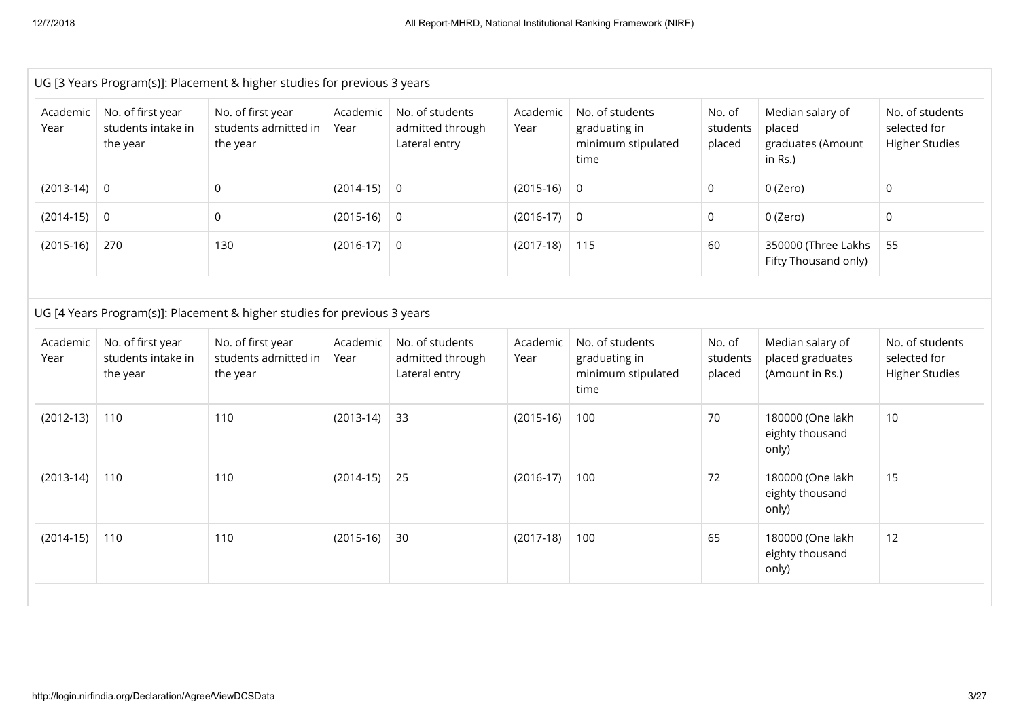|                  |                                                     | UG [3 Years Program(s)]: Placement & higher studies for previous 3 years                                                          |                  |                                                      |                  |                                                                |                              |                                                            |                                                          |
|------------------|-----------------------------------------------------|-----------------------------------------------------------------------------------------------------------------------------------|------------------|------------------------------------------------------|------------------|----------------------------------------------------------------|------------------------------|------------------------------------------------------------|----------------------------------------------------------|
| Academic<br>Year | No. of first year<br>students intake in<br>the year | No. of first year<br>students admitted in<br>the year                                                                             | Academic<br>Year | No. of students<br>admitted through<br>Lateral entry | Academic<br>Year | No. of students<br>graduating in<br>minimum stipulated<br>time | No. of<br>students<br>placed | Median salary of<br>placed<br>graduates (Amount<br>in Rs.) | No. of students<br>selected for<br><b>Higher Studies</b> |
| $(2013-14)$      | $\overline{0}$                                      | $\mathsf{O}$                                                                                                                      | $(2014-15)$      | $\overline{0}$                                       | $(2015-16)$      | $\mathsf{O}$                                                   | 0                            | 0 (Zero)                                                   | $\mathsf{O}$                                             |
| $(2014-15)$      | $\mathsf 0$                                         | $\mathsf{O}\xspace$                                                                                                               | $(2015-16)$ 0    |                                                      | $(2016-17)$      | $\mathsf{O}$                                                   | 0                            | 0 (Zero)                                                   | $\mathsf{O}$                                             |
| $(2015-16)$      | 270                                                 | 130                                                                                                                               | $(2016-17)$ 0    |                                                      | $(2017-18)$      | 115                                                            | 60                           | 350000 (Three Lakhs<br>Fifty Thousand only)                | 55                                                       |
| Academic<br>Year | No. of first year<br>students intake in<br>the year | UG [4 Years Program(s)]: Placement & higher studies for previous 3 years<br>No. of first year<br>students admitted in<br>the year | Academic<br>Year | No. of students<br>admitted through<br>Lateral entry | Academic<br>Year | No. of students<br>graduating in<br>minimum stipulated<br>time | No. of<br>students<br>placed | Median salary of<br>placed graduates<br>(Amount in Rs.)    | No. of students<br>selected for<br><b>Higher Studies</b> |
| $(2012-13)$      | 110                                                 | 110                                                                                                                               | $(2013-14)$      | 33                                                   | $(2015-16)$      | 100                                                            | 70                           | 180000 (One lakh<br>eighty thousand<br>only)               | 10                                                       |
| $(2013-14)$      | 110                                                 | 110                                                                                                                               | $(2014-15)$      | 25                                                   | $(2016-17)$      | 100                                                            | 72                           | 180000 (One lakh<br>eighty thousand<br>only)               | 15                                                       |
| $(2014-15)$      | 110                                                 | 110                                                                                                                               | $(2015-16)$      | 30                                                   | $(2017-18)$      | 100                                                            | 65                           | 180000 (One lakh<br>eighty thousand<br>only)               | 12                                                       |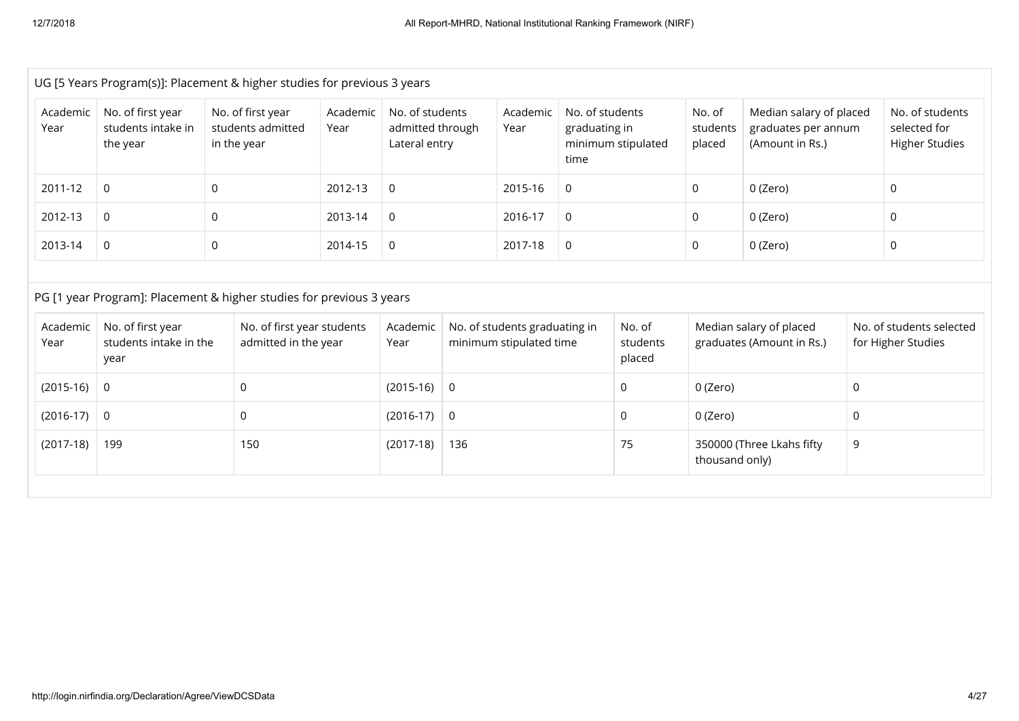|                  | UG [5 Years Program(s)]: Placement & higher studies for previous 3 years |              |                                                       |                  |                                                      |                                                          |                  |                                          |                                                      |                              |                                                                   |   |                                                          |
|------------------|--------------------------------------------------------------------------|--------------|-------------------------------------------------------|------------------|------------------------------------------------------|----------------------------------------------------------|------------------|------------------------------------------|------------------------------------------------------|------------------------------|-------------------------------------------------------------------|---|----------------------------------------------------------|
| Academic<br>Year | No. of first year<br>students intake in<br>the year                      |              | No. of first year<br>students admitted<br>in the year | Academic<br>Year | No. of students<br>admitted through<br>Lateral entry |                                                          | Academic<br>Year | No. of students<br>graduating in<br>time | minimum stipulated                                   | No. of<br>students<br>placed | Median salary of placed<br>graduates per annum<br>(Amount in Rs.) |   | No. of students<br>selected for<br><b>Higher Studies</b> |
| 2011-12          | $\mathbf 0$                                                              | $\mathsf{O}$ |                                                       | 2012-13          | $\mathsf{O}\xspace$                                  |                                                          | 2015-16          | 0                                        |                                                      | $\Omega$                     | 0 (Zero)                                                          |   | $\mathsf{O}$                                             |
| 2012-13          | $\mathbf 0$                                                              | 0            |                                                       | 2013-14          | 0                                                    |                                                          | 2016-17          | 0                                        |                                                      | $\mathbf{0}$                 | 0 (Zero)                                                          |   | 0                                                        |
| 2013-14          | $\mathbf 0$                                                              | $\mathsf{O}$ |                                                       | 2014-15          | $\mathsf{O}\xspace$                                  |                                                          | 2017-18          | 0                                        |                                                      | 0                            | 0 (Zero)                                                          |   | 0                                                        |
|                  |                                                                          |              |                                                       |                  |                                                      |                                                          |                  |                                          |                                                      |                              |                                                                   |   |                                                          |
|                  | PG [1 year Program]: Placement & higher studies for previous 3 years     |              |                                                       |                  |                                                      |                                                          |                  |                                          |                                                      |                              |                                                                   |   |                                                          |
| Academic<br>Year | No. of first year<br>students intake in the<br>year                      |              | No. of first year students<br>admitted in the year    |                  | Academic<br>Year                                     | No. of students graduating in<br>minimum stipulated time |                  | No. of<br>students<br>placed             | Median salary of placed<br>graduates (Amount in Rs.) |                              | No. of students selected<br>for Higher Studies                    |   |                                                          |
| $(2015-16)$      | $\mathbf 0$                                                              |              | 0                                                     |                  | $(2015-16)$ 0                                        |                                                          |                  |                                          | 0                                                    | 0 (Zero)                     |                                                                   | 0 |                                                          |
| $(2016-17)$      | 0                                                                        |              | 0                                                     |                  | $(2016-17)$ 0                                        |                                                          |                  |                                          | 0                                                    | 0 (Zero)                     |                                                                   | 0 |                                                          |
| $(2017-18)$      | 199                                                                      |              | 150                                                   |                  | $(2017-18)$                                          | 136                                                      |                  |                                          | 75                                                   | thousand only)               | 350000 (Three Lkahs fifty                                         | 9 |                                                          |
|                  |                                                                          |              |                                                       |                  |                                                      |                                                          |                  |                                          |                                                      |                              |                                                                   |   |                                                          |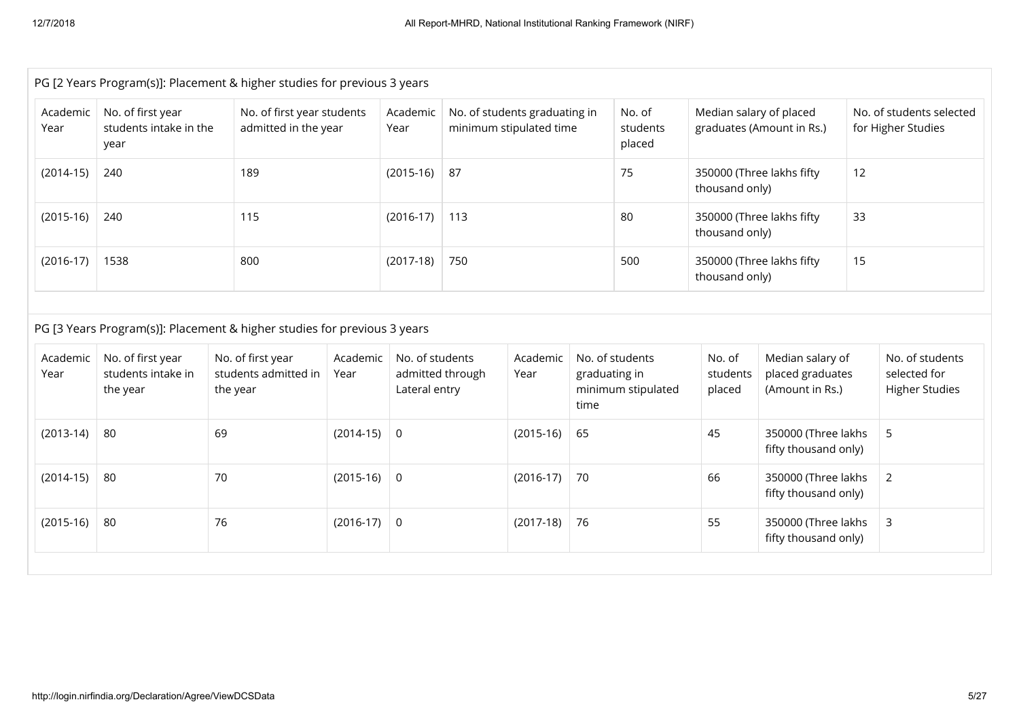|                  |                                                     | PG [2 Years Program(s)]: Placement & higher studies for previous 3 years |                  |                                  |                   |                                                          |                       |                                             |                              |                                                         |    |                                                          |
|------------------|-----------------------------------------------------|--------------------------------------------------------------------------|------------------|----------------------------------|-------------------|----------------------------------------------------------|-----------------------|---------------------------------------------|------------------------------|---------------------------------------------------------|----|----------------------------------------------------------|
| Academic<br>Year | No. of first year<br>students intake in the<br>year | No. of first year students<br>admitted in the year                       |                  | Academic<br>Year                 |                   | No. of students graduating in<br>minimum stipulated time |                       | No. of<br>students<br>placed                | Median salary of placed      | graduates (Amount in Rs.)                               |    | No. of students selected<br>for Higher Studies           |
| $(2014-15)$      | 240                                                 | 189                                                                      |                  |                                  | $(2015-16)$<br>87 |                                                          | 75                    | 350000 (Three lakhs fifty<br>thousand only) |                              | 12                                                      |    |                                                          |
| $(2015-16)$      | 240                                                 | 115                                                                      |                  | $(2016-17)$                      | 113               |                                                          |                       | 80                                          | thousand only)               | 350000 (Three lakhs fifty                               | 33 |                                                          |
| $(2016-17)$      | 1538                                                | 800                                                                      |                  | $(2017-18)$                      | 750               |                                                          |                       | 500                                         | thousand only)               | 350000 (Three lakhs fifty                               | 15 |                                                          |
|                  |                                                     | PG [3 Years Program(s)]: Placement & higher studies for previous 3 years |                  |                                  |                   |                                                          |                       |                                             |                              |                                                         |    |                                                          |
| Academic<br>Year | No. of first year<br>students intake in<br>the year | No. of first year<br>students admitted in<br>the year                    | Academic<br>Year | No. of students<br>Lateral entry | admitted through  | Academic<br>Year                                         | graduating in<br>time | No. of students<br>minimum stipulated       | No. of<br>students<br>placed | Median salary of<br>placed graduates<br>(Amount in Rs.) |    | No. of students<br>selected for<br><b>Higher Studies</b> |
| $(2013-14)$      | 80                                                  | 69                                                                       | $(2014-15)$ 0    |                                  |                   | $(2015-16)$                                              | 65                    |                                             | 45                           | 350000 (Three lakhs<br>fifty thousand only)             |    | 5                                                        |
| $(2014-15)$      | 80                                                  | 70                                                                       | $(2015-16)$ 0    |                                  |                   | $(2016-17)$                                              | 70                    |                                             | 66                           | 350000 (Three lakhs<br>fifty thousand only)             |    | $\overline{2}$                                           |
| $(2015-16)$      | 80                                                  | 76                                                                       | $(2016-17)$ 0    |                                  |                   | $(2017-18)$                                              | 76                    |                                             | 55                           | 350000 (Three lakhs<br>fifty thousand only)             |    | 3                                                        |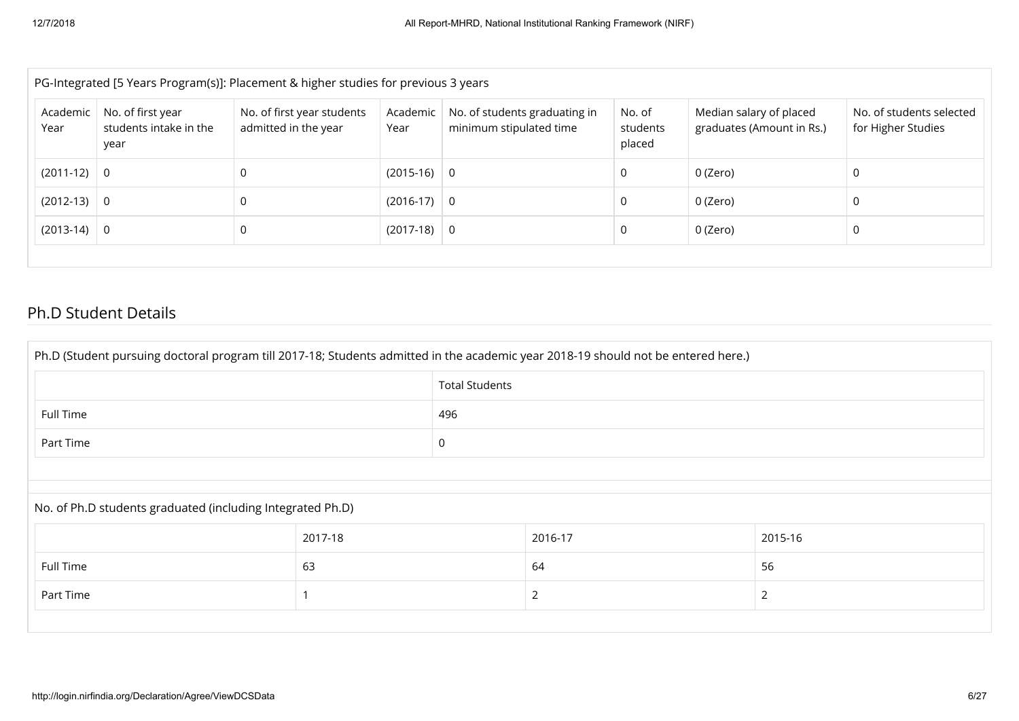|                  | PG-Integrated [5 Years Program(s)]: Placement & higher studies for previous 3 years |                                                    |                  |                                                          |                              |                                                      |                                                |  |  |
|------------------|-------------------------------------------------------------------------------------|----------------------------------------------------|------------------|----------------------------------------------------------|------------------------------|------------------------------------------------------|------------------------------------------------|--|--|
| Academic<br>Year | No. of first year<br>students intake in the<br>year                                 | No. of first year students<br>admitted in the year | Academic<br>Year | No. of students graduating in<br>minimum stipulated time | No. of<br>students<br>placed | Median salary of placed<br>graduates (Amount in Rs.) | No. of students selected<br>for Higher Studies |  |  |
| $(2011-12)$ 0    |                                                                                     | 0                                                  | $(2015-16)$ 0    |                                                          | 0                            | 0 (Zero)                                             | 0                                              |  |  |
| $(2012-13)$ 0    |                                                                                     | 0                                                  | $(2016-17)$ 0    |                                                          |                              | 0 (Zero)                                             | 0                                              |  |  |
| $(2013-14)$ 0    |                                                                                     | 0                                                  | $(2017-18)$ 0    |                                                          | 0                            | 0 (Zero)                                             | 0                                              |  |  |
|                  |                                                                                     |                                                    |                  |                                                          |                              |                                                      |                                                |  |  |

### Ph.D Student Details

| Ph.D (Student pursuing doctoral program till 2017-18; Students admitted in the academic year 2018-19 should not be entered here.) |         |                       |         |                |  |  |  |
|-----------------------------------------------------------------------------------------------------------------------------------|---------|-----------------------|---------|----------------|--|--|--|
|                                                                                                                                   |         | <b>Total Students</b> |         |                |  |  |  |
| Full Time                                                                                                                         | 496     |                       |         |                |  |  |  |
| Part Time                                                                                                                         | 0       |                       |         |                |  |  |  |
|                                                                                                                                   |         |                       |         |                |  |  |  |
| No. of Ph.D students graduated (including Integrated Ph.D)                                                                        |         |                       |         |                |  |  |  |
|                                                                                                                                   | 2017-18 |                       | 2016-17 | 2015-16        |  |  |  |
| Full Time                                                                                                                         | 63      |                       | 64      | 56             |  |  |  |
| Part Time                                                                                                                         |         |                       |         | $\overline{2}$ |  |  |  |
|                                                                                                                                   |         |                       |         |                |  |  |  |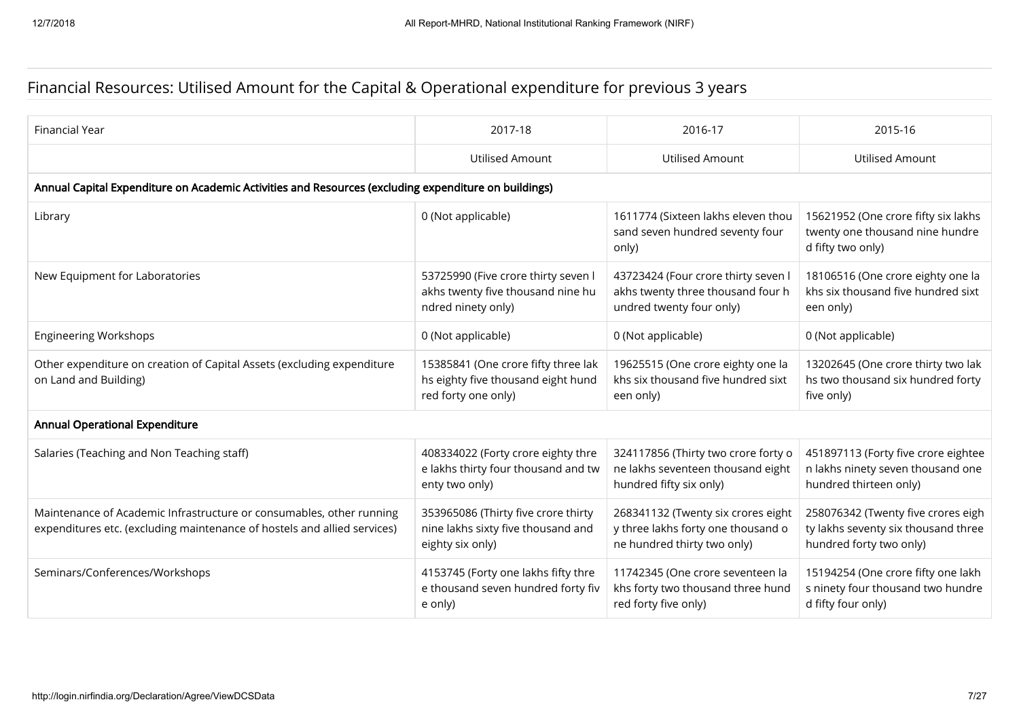## Financial Resources: Utilised Amount for the Capital & Operational expenditure for previous 3 years

| <b>Financial Year</b>                                                                                                                            | 2017-18                                                                                          | 2016-17                                                                                                 | 2015-16                                                                                              |  |  |  |  |  |
|--------------------------------------------------------------------------------------------------------------------------------------------------|--------------------------------------------------------------------------------------------------|---------------------------------------------------------------------------------------------------------|------------------------------------------------------------------------------------------------------|--|--|--|--|--|
|                                                                                                                                                  | <b>Utilised Amount</b>                                                                           | Utilised Amount                                                                                         | Utilised Amount                                                                                      |  |  |  |  |  |
| Annual Capital Expenditure on Academic Activities and Resources (excluding expenditure on buildings)                                             |                                                                                                  |                                                                                                         |                                                                                                      |  |  |  |  |  |
| Library                                                                                                                                          | 0 (Not applicable)                                                                               | 1611774 (Sixteen lakhs eleven thou<br>sand seven hundred seventy four<br>only)                          | 15621952 (One crore fifty six lakhs<br>twenty one thousand nine hundre<br>d fifty two only)          |  |  |  |  |  |
| New Equipment for Laboratories                                                                                                                   | 53725990 (Five crore thirty seven I<br>akhs twenty five thousand nine hu<br>ndred ninety only)   | 43723424 (Four crore thirty seven I<br>akhs twenty three thousand four h<br>undred twenty four only)    | 18106516 (One crore eighty one la<br>khs six thousand five hundred sixt<br>een only)                 |  |  |  |  |  |
| <b>Engineering Workshops</b>                                                                                                                     | 0 (Not applicable)                                                                               | 0 (Not applicable)                                                                                      | 0 (Not applicable)                                                                                   |  |  |  |  |  |
| Other expenditure on creation of Capital Assets (excluding expenditure<br>on Land and Building)                                                  | 15385841 (One crore fifty three lak<br>hs eighty five thousand eight hund<br>red forty one only) | 19625515 (One crore eighty one la<br>khs six thousand five hundred sixt<br>een only)                    | 13202645 (One crore thirty two lak<br>hs two thousand six hundred forty<br>five only)                |  |  |  |  |  |
| <b>Annual Operational Expenditure</b>                                                                                                            |                                                                                                  |                                                                                                         |                                                                                                      |  |  |  |  |  |
| Salaries (Teaching and Non Teaching staff)                                                                                                       | 408334022 (Forty crore eighty thre<br>e lakhs thirty four thousand and tw<br>enty two only)      | 324117856 (Thirty two crore forty o<br>ne lakhs seventeen thousand eight<br>hundred fifty six only)     | 451897113 (Forty five crore eightee<br>n lakhs ninety seven thousand one<br>hundred thirteen only)   |  |  |  |  |  |
| Maintenance of Academic Infrastructure or consumables, other running<br>expenditures etc. (excluding maintenance of hostels and allied services) | 353965086 (Thirty five crore thirty<br>nine lakhs sixty five thousand and<br>eighty six only)    | 268341132 (Twenty six crores eight<br>y three lakhs forty one thousand o<br>ne hundred thirty two only) | 258076342 (Twenty five crores eigh<br>ty lakhs seventy six thousand three<br>hundred forty two only) |  |  |  |  |  |
| Seminars/Conferences/Workshops                                                                                                                   | 4153745 (Forty one lakhs fifty thre<br>e thousand seven hundred forty fiv<br>e only)             | 11742345 (One crore seventeen la<br>khs forty two thousand three hund<br>red forty five only)           | 15194254 (One crore fifty one lakh<br>s ninety four thousand two hundre<br>d fifty four only)        |  |  |  |  |  |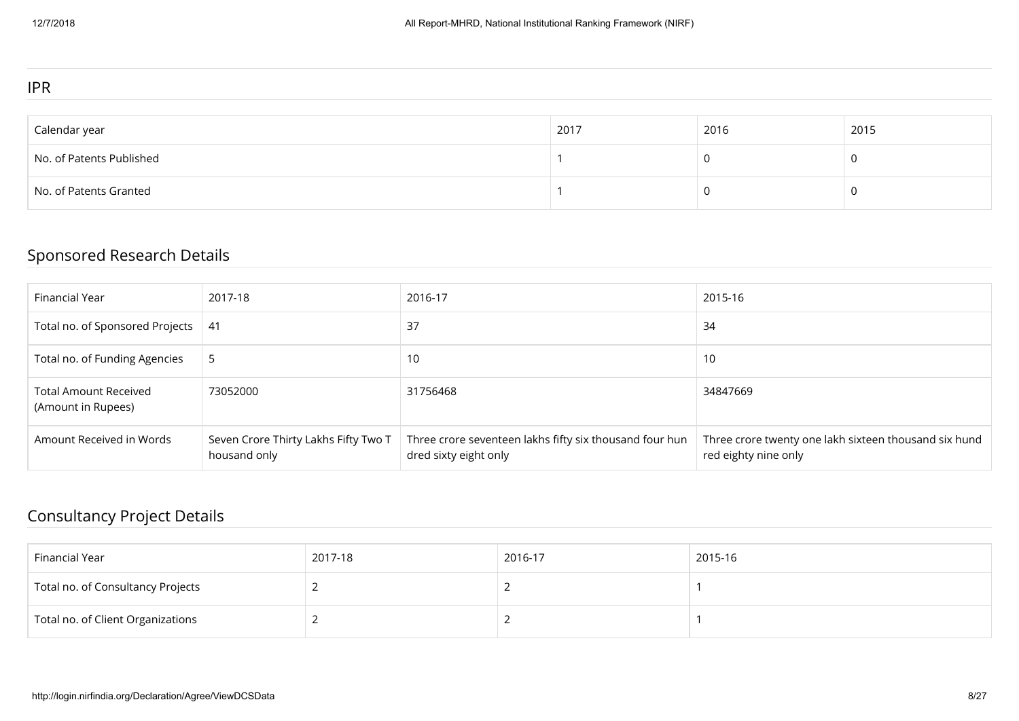#### IPR

| Calendar year            | 2017 | 2016 | 2015 |
|--------------------------|------|------|------|
| No. of Patents Published |      |      |      |
| No. of Patents Granted   |      |      |      |

## Sponsored Research Details

| Financial Year                                     | 2017-18                                              | 2016-17                                                                          | 2015-16                                                                       |
|----------------------------------------------------|------------------------------------------------------|----------------------------------------------------------------------------------|-------------------------------------------------------------------------------|
| Total no. of Sponsored Projects                    | -41                                                  | 37                                                                               | 34                                                                            |
| Total no. of Funding Agencies                      | 5                                                    | 10                                                                               | 10                                                                            |
| <b>Total Amount Received</b><br>(Amount in Rupees) | 73052000                                             | 31756468                                                                         | 34847669                                                                      |
| Amount Received in Words                           | Seven Crore Thirty Lakhs Fifty Two T<br>housand only | Three crore seventeen lakhs fifty six thousand four hun<br>dred sixty eight only | Three crore twenty one lakh sixteen thousand six hund<br>red eighty nine only |

## Consultancy Project Details

| Financial Year                    | 2017-18 | 2016-17 | 2015-16 |
|-----------------------------------|---------|---------|---------|
| Total no. of Consultancy Projects |         |         |         |
| Total no. of Client Organizations |         |         |         |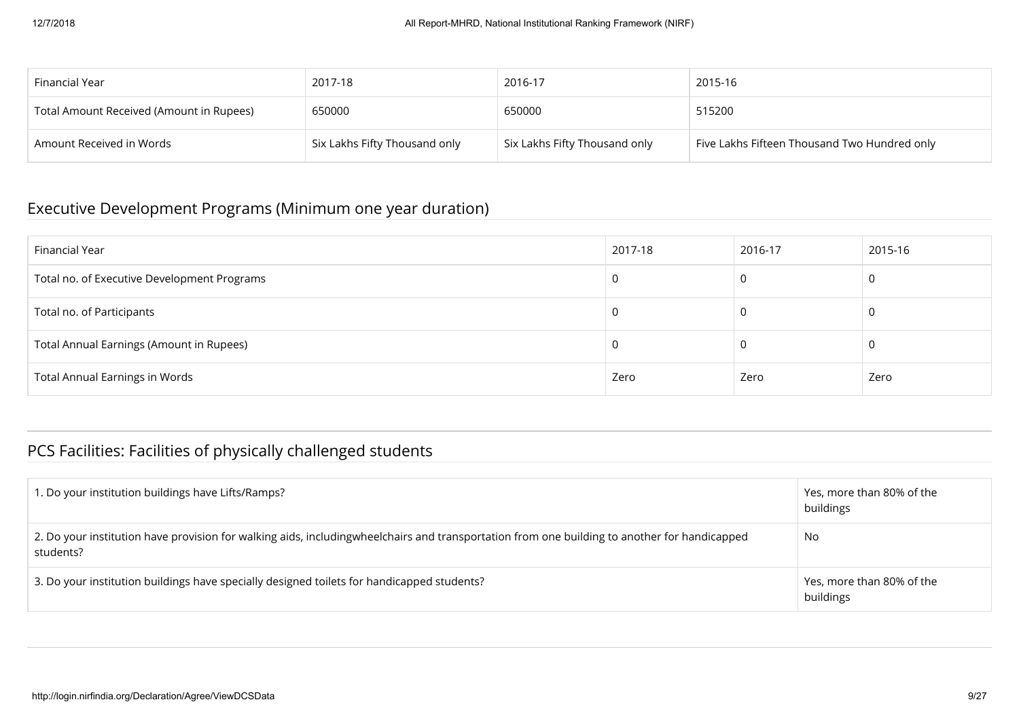| Financial Year                           | 2017-18                       | 2016-17                       | 2015-16                                      |
|------------------------------------------|-------------------------------|-------------------------------|----------------------------------------------|
| Total Amount Received (Amount in Rupees) | 650000                        | 650000                        | 515200                                       |
| Amount Received in Words                 | Six Lakhs Fifty Thousand only | Six Lakhs Fifty Thousand only | Five Lakhs Fifteen Thousand Two Hundred only |

### Executive Development Programs (Minimum one year duration)

| Financial Year                              | 2017-18 | 2016-17 | 2015-16 |
|---------------------------------------------|---------|---------|---------|
| Total no. of Executive Development Programs |         |         | 0       |
| Total no. of Participants                   |         |         | 0       |
| Total Annual Earnings (Amount in Rupees)    |         |         | 0       |
| <b>Total Annual Earnings in Words</b>       | Zero    | Zero    | Zero    |

## PCS Facilities: Facilities of physically challenged students

| 1. Do your institution buildings have Lifts/Ramps?                                                                                                        | Yes, more than 80% of the<br>buildings |
|-----------------------------------------------------------------------------------------------------------------------------------------------------------|----------------------------------------|
| 2. Do your institution have provision for walking aids, includingwheelchairs and transportation from one building to another for handicapped<br>students? | No                                     |
| 3. Do your institution buildings have specially designed toilets for handicapped students?                                                                | Yes, more than 80% of the<br>buildings |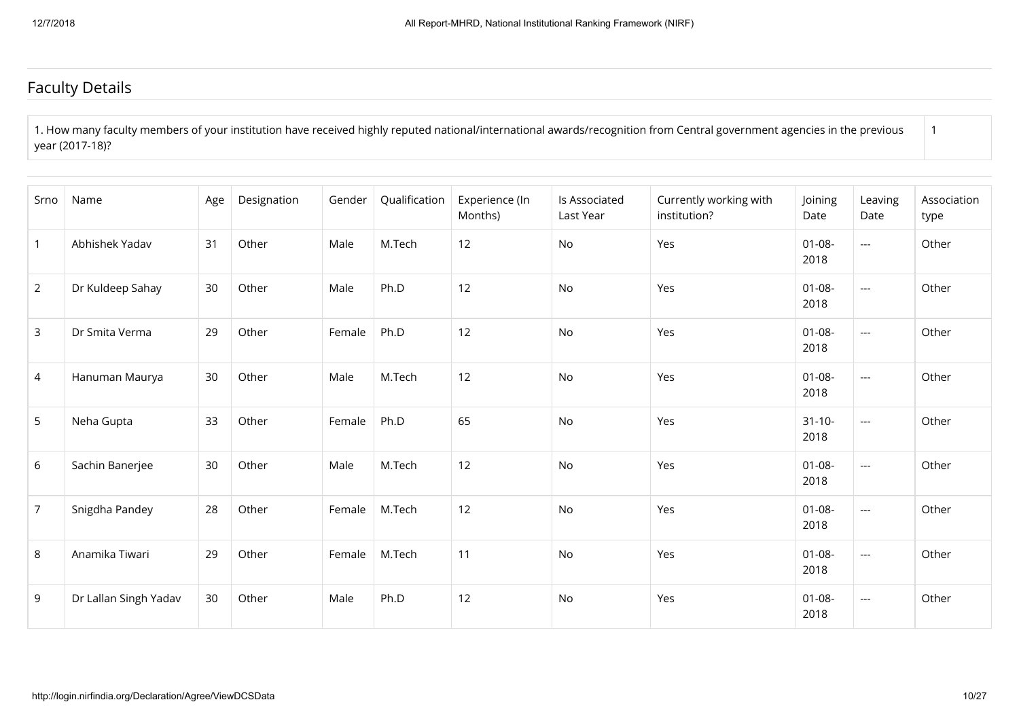### Faculty Details

1. How many faculty members of your institution have received highly reputed national/international awards/recognition from Central government agencies in the previous year (2017-18)? 1

| Srno           | Name                  | Age | Designation | Gender | Qualification | Experience (In<br>Months) | Is Associated<br>Last Year | Currently working with<br>institution? | Joining<br>Date     | Leaving<br>Date | Association<br>type |
|----------------|-----------------------|-----|-------------|--------|---------------|---------------------------|----------------------------|----------------------------------------|---------------------|-----------------|---------------------|
| $\mathbf{1}$   | Abhishek Yadav        | 31  | Other       | Male   | M.Tech        | 12                        | No                         | Yes                                    | $01 - 08 -$<br>2018 | $---$           | Other               |
| $\overline{2}$ | Dr Kuldeep Sahay      | 30  | Other       | Male   | Ph.D          | 12                        | No                         | Yes                                    | $01 - 08 -$<br>2018 | $---$           | Other               |
| $\mathbf{3}$   | Dr Smita Verma        | 29  | Other       | Female | Ph.D          | 12                        | No                         | Yes                                    | $01 - 08 -$<br>2018 | $\overline{a}$  | Other               |
| $\overline{4}$ | Hanuman Maurya        | 30  | Other       | Male   | M.Tech        | 12                        | No                         | Yes                                    | $01 - 08 -$<br>2018 | $---$           | Other               |
| 5              | Neha Gupta            | 33  | Other       | Female | Ph.D          | 65                        | No                         | Yes                                    | $31 - 10 -$<br>2018 | $---$           | Other               |
| 6              | Sachin Banerjee       | 30  | Other       | Male   | M.Tech        | 12                        | No                         | Yes                                    | $01 - 08 -$<br>2018 | $---$           | Other               |
| $\overline{7}$ | Snigdha Pandey        | 28  | Other       | Female | M.Tech        | 12                        | No                         | Yes                                    | $01 - 08 -$<br>2018 | $---$           | Other               |
| 8              | Anamika Tiwari        | 29  | Other       | Female | M.Tech        | 11                        | No                         | Yes                                    | $01 - 08 -$<br>2018 | $---$           | Other               |
| 9              | Dr Lallan Singh Yadav | 30  | Other       | Male   | Ph.D          | 12                        | No                         | Yes                                    | $01 - 08 -$<br>2018 | $---$           | Other               |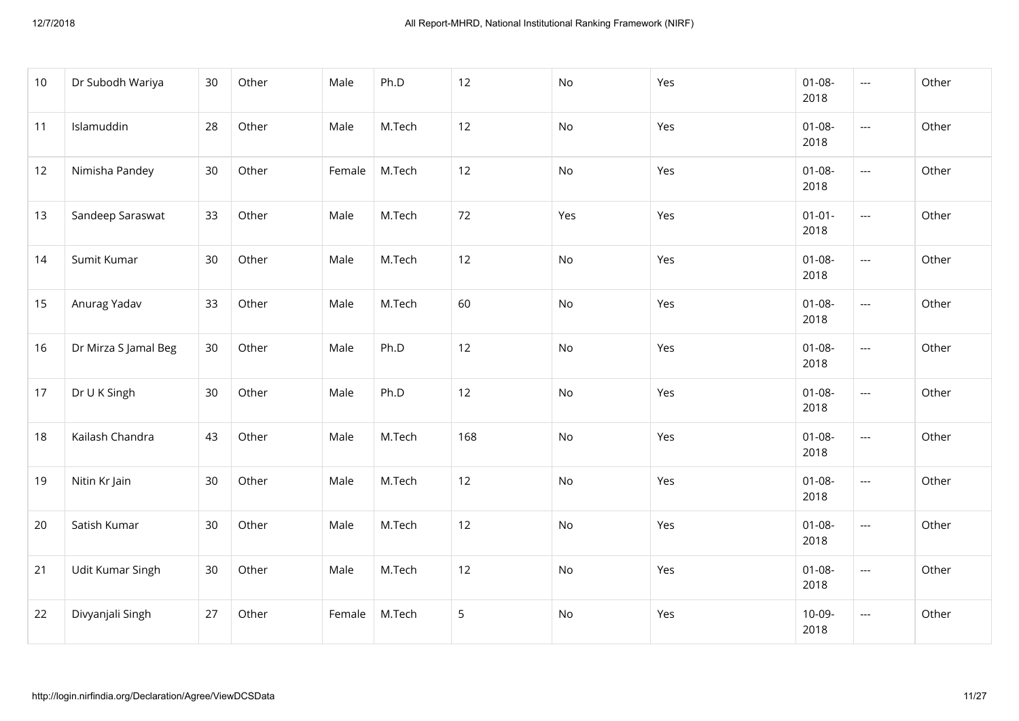| 10 | Dr Subodh Wariya     | 30 | Other | Male   | Ph.D   | 12  | No  | Yes | $01 - 08 -$<br>2018 | ---                      | Other |
|----|----------------------|----|-------|--------|--------|-----|-----|-----|---------------------|--------------------------|-------|
| 11 | Islamuddin           | 28 | Other | Male   | M.Tech | 12  | No  | Yes | $01 - 08 -$<br>2018 | $\overline{\phantom{a}}$ | Other |
| 12 | Nimisha Pandey       | 30 | Other | Female | M.Tech | 12  | No  | Yes | $01 - 08 -$<br>2018 | $\overline{a}$           | Other |
| 13 | Sandeep Saraswat     | 33 | Other | Male   | M.Tech | 72  | Yes | Yes | $01 - 01 -$<br>2018 | $\overline{a}$           | Other |
| 14 | Sumit Kumar          | 30 | Other | Male   | M.Tech | 12  | No  | Yes | $01 - 08 -$<br>2018 | $\overline{a}$           | Other |
| 15 | Anurag Yadav         | 33 | Other | Male   | M.Tech | 60  | No  | Yes | $01 - 08 -$<br>2018 | $\hspace{0.05cm} \ldots$ | Other |
| 16 | Dr Mirza S Jamal Beg | 30 | Other | Male   | Ph.D   | 12  | No  | Yes | $01 - 08 -$<br>2018 | $\cdots$                 | Other |
| 17 | Dr U K Singh         | 30 | Other | Male   | Ph.D   | 12  | No  | Yes | $01 - 08 -$<br>2018 | $\overline{a}$           | Other |
| 18 | Kailash Chandra      | 43 | Other | Male   | M.Tech | 168 | No  | Yes | $01 - 08 -$<br>2018 | $\overline{\phantom{a}}$ | Other |
| 19 | Nitin Kr Jain        | 30 | Other | Male   | M.Tech | 12  | No  | Yes | $01 - 08 -$<br>2018 | $---$                    | Other |
| 20 | Satish Kumar         | 30 | Other | Male   | M.Tech | 12  | No  | Yes | $01 - 08 -$<br>2018 | ---                      | Other |
| 21 | Udit Kumar Singh     | 30 | Other | Male   | M.Tech | 12  | No  | Yes | $01 - 08 -$<br>2018 | ---                      | Other |
| 22 | Divyanjali Singh     | 27 | Other | Female | M.Tech | 5   | No  | Yes | $10-09-$<br>2018    | $\cdots$                 | Other |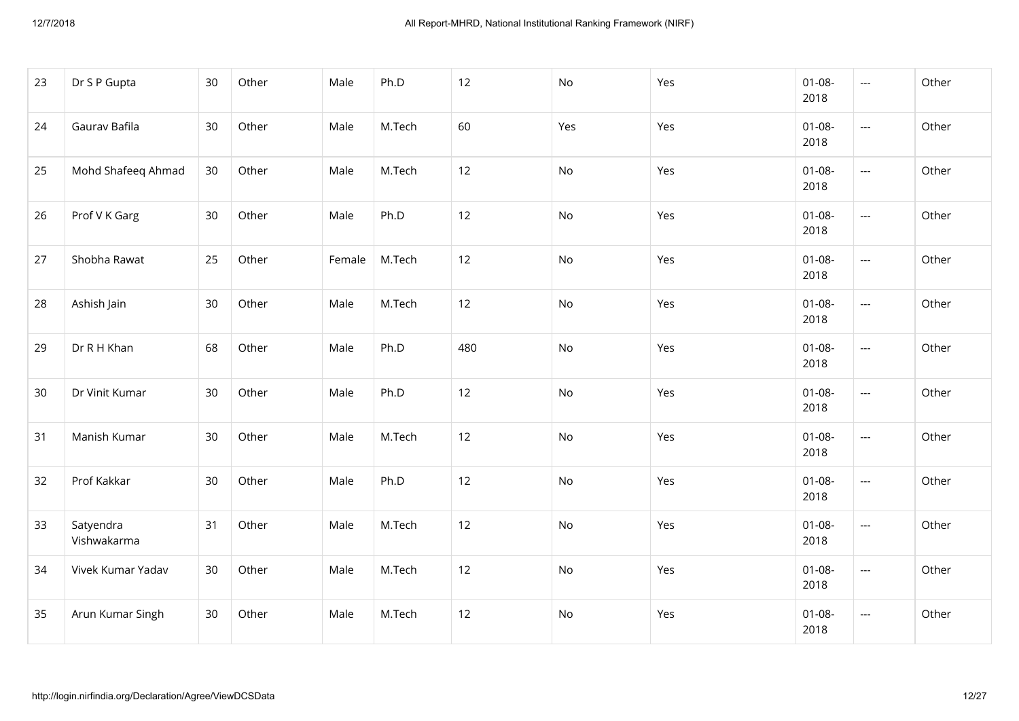| 23 | Dr S P Gupta             | 30 | Other | Male   | Ph.D   | 12  | No  | Yes | $01 - 08 -$<br>2018 | ---                      | Other |
|----|--------------------------|----|-------|--------|--------|-----|-----|-----|---------------------|--------------------------|-------|
| 24 | Gaurav Bafila            | 30 | Other | Male   | M.Tech | 60  | Yes | Yes | $01 - 08 -$<br>2018 | $\overline{\phantom{a}}$ | Other |
| 25 | Mohd Shafeeq Ahmad       | 30 | Other | Male   | M.Tech | 12  | No  | Yes | $01 - 08 -$<br>2018 | ---                      | Other |
| 26 | Prof V K Garg            | 30 | Other | Male   | Ph.D   | 12  | No  | Yes | $01 - 08 -$<br>2018 | $\overline{a}$           | Other |
| 27 | Shobha Rawat             | 25 | Other | Female | M.Tech | 12  | No  | Yes | $01 - 08 -$<br>2018 | ---                      | Other |
| 28 | Ashish Jain              | 30 | Other | Male   | M.Tech | 12  | No  | Yes | $01 - 08 -$<br>2018 | ---                      | Other |
| 29 | Dr R H Khan              | 68 | Other | Male   | Ph.D   | 480 | No  | Yes | $01 - 08 -$<br>2018 | $\cdots$                 | Other |
| 30 | Dr Vinit Kumar           | 30 | Other | Male   | Ph.D   | 12  | No  | Yes | $01 - 08 -$<br>2018 | $\overline{a}$           | Other |
| 31 | Manish Kumar             | 30 | Other | Male   | M.Tech | 12  | No  | Yes | $01 - 08 -$<br>2018 | $\overline{a}$           | Other |
| 32 | Prof Kakkar              | 30 | Other | Male   | Ph.D   | 12  | No  | Yes | $01 - 08 -$<br>2018 | $\overline{\phantom{a}}$ | Other |
| 33 | Satyendra<br>Vishwakarma | 31 | Other | Male   | M.Tech | 12  | No  | Yes | $01 - 08 -$<br>2018 | $\hspace{0.05cm}\ldots$  | Other |
| 34 | Vivek Kumar Yadav        | 30 | Other | Male   | M.Tech | 12  | No  | Yes | $01 - 08 -$<br>2018 | ---                      | Other |
| 35 | Arun Kumar Singh         | 30 | Other | Male   | M.Tech | 12  | No  | Yes | $01 - 08 -$<br>2018 | ---                      | Other |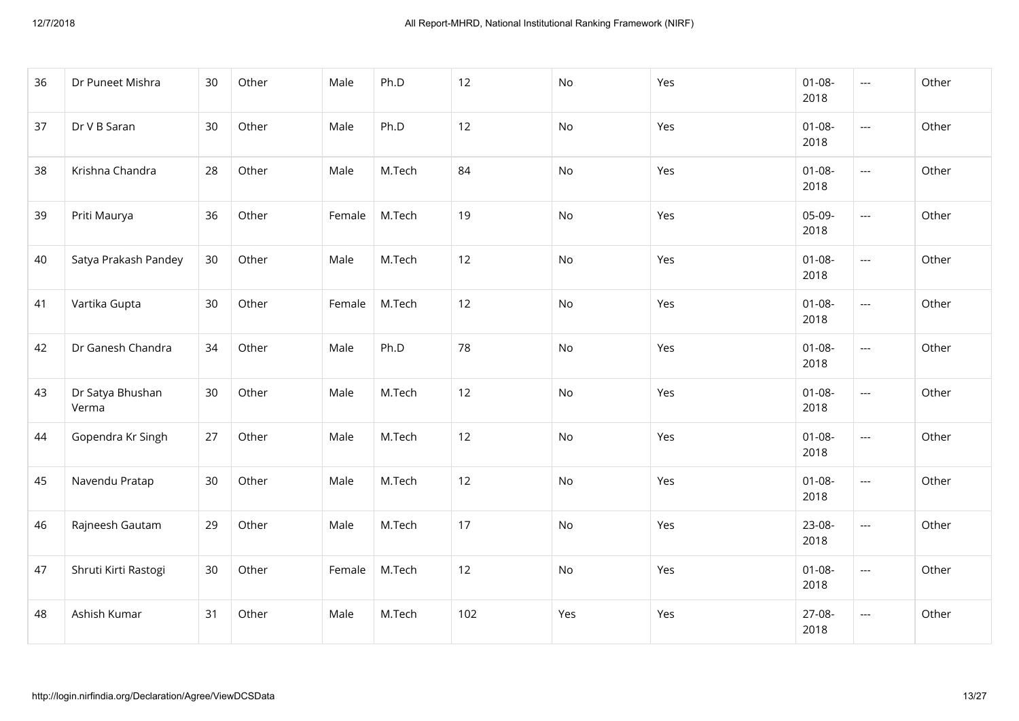| 36 | Dr Puneet Mishra          | 30 | Other | Male   | Ph.D   | 12  | No  | Yes | $01 - 08 -$<br>2018 | $\cdots$                 | Other |
|----|---------------------------|----|-------|--------|--------|-----|-----|-----|---------------------|--------------------------|-------|
| 37 | Dr V B Saran              | 30 | Other | Male   | Ph.D   | 12  | No  | Yes | $01 - 08 -$<br>2018 | $\overline{\phantom{a}}$ | Other |
| 38 | Krishna Chandra           | 28 | Other | Male   | M.Tech | 84  | No  | Yes | $01 - 08 -$<br>2018 | $\overline{a}$           | Other |
| 39 | Priti Maurya              | 36 | Other | Female | M.Tech | 19  | No  | Yes | 05-09-<br>2018      | $\overline{\phantom{a}}$ | Other |
| 40 | Satya Prakash Pandey      | 30 | Other | Male   | M.Tech | 12  | No  | Yes | $01 - 08 -$<br>2018 | $\overline{\phantom{a}}$ | Other |
| 41 | Vartika Gupta             | 30 | Other | Female | M.Tech | 12  | No  | Yes | $01 - 08 -$<br>2018 | $\hspace{0.05cm} \ldots$ | Other |
| 42 | Dr Ganesh Chandra         | 34 | Other | Male   | Ph.D   | 78  | No  | Yes | $01 - 08 -$<br>2018 | $\cdots$                 | Other |
| 43 | Dr Satya Bhushan<br>Verma | 30 | Other | Male   | M.Tech | 12  | No  | Yes | $01 - 08 -$<br>2018 | ---                      | Other |
| 44 | Gopendra Kr Singh         | 27 | Other | Male   | M.Tech | 12  | No  | Yes | $01 - 08 -$<br>2018 | $\overline{a}$           | Other |
| 45 | Navendu Pratap            | 30 | Other | Male   | M.Tech | 12  | No  | Yes | $01 - 08 -$<br>2018 | $\overline{a}$           | Other |
| 46 | Rajneesh Gautam           | 29 | Other | Male   | M.Tech | 17  | No  | Yes | 23-08-<br>2018      | $\overline{\phantom{a}}$ | Other |
| 47 | Shruti Kirti Rastogi      | 30 | Other | Female | M.Tech | 12  | No  | Yes | $01 - 08 -$<br>2018 | ---                      | Other |
| 48 | Ashish Kumar              | 31 | Other | Male   | M.Tech | 102 | Yes | Yes | 27-08-<br>2018      | $\overline{a}$           | Other |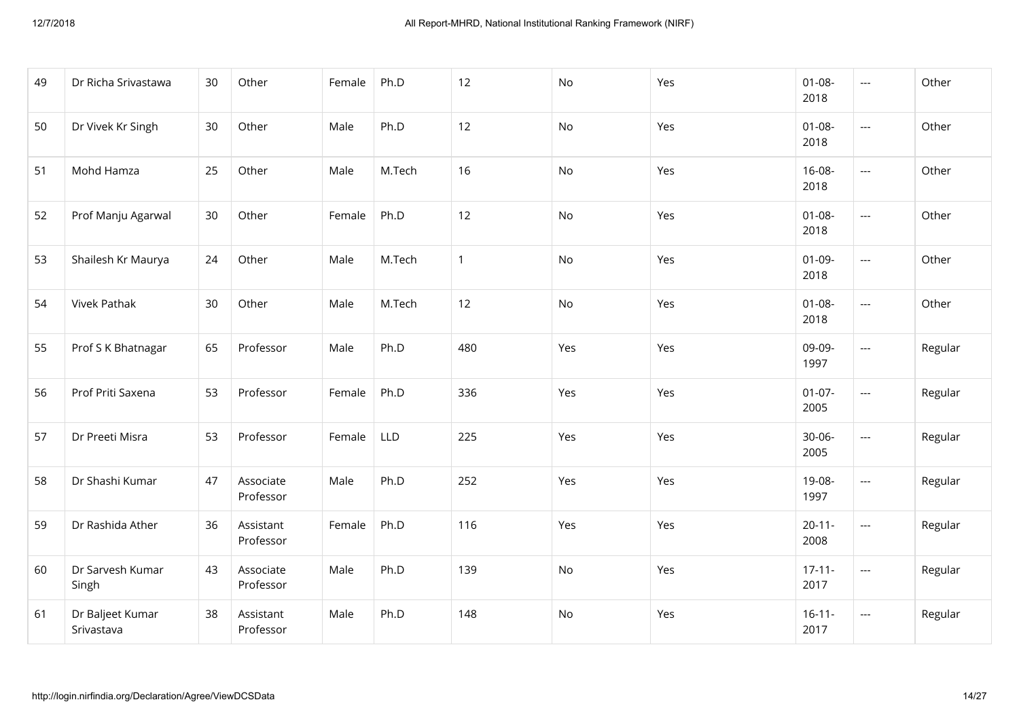| 49 | Dr Richa Srivastawa            | 30 | Other                  | Female | Ph.D       | 12           | No  | Yes | $01 - 08 -$<br>2018 | $---$                    | Other   |
|----|--------------------------------|----|------------------------|--------|------------|--------------|-----|-----|---------------------|--------------------------|---------|
| 50 | Dr Vivek Kr Singh              | 30 | Other                  | Male   | Ph.D       | 12           | No  | Yes | $01 - 08 -$<br>2018 | $---$                    | Other   |
| 51 | Mohd Hamza                     | 25 | Other                  | Male   | M.Tech     | 16           | No  | Yes | 16-08-<br>2018      | ---                      | Other   |
| 52 | Prof Manju Agarwal             | 30 | Other                  | Female | Ph.D       | 12           | No  | Yes | $01 - 08 -$<br>2018 | $\overline{\phantom{a}}$ | Other   |
| 53 | Shailesh Kr Maurya             | 24 | Other                  | Male   | M.Tech     | $\mathbf{1}$ | No  | Yes | $01 - 09 -$<br>2018 | $\overline{\phantom{a}}$ | Other   |
| 54 | <b>Vivek Pathak</b>            | 30 | Other                  | Male   | M.Tech     | 12           | No  | Yes | $01 - 08 -$<br>2018 | ---                      | Other   |
| 55 | Prof S K Bhatnagar             | 65 | Professor              | Male   | Ph.D       | 480          | Yes | Yes | 09-09-<br>1997      | $\overline{\phantom{a}}$ | Regular |
| 56 | Prof Priti Saxena              | 53 | Professor              | Female | Ph.D       | 336          | Yes | Yes | $01-07-$<br>2005    | $\overline{\phantom{a}}$ | Regular |
| 57 | Dr Preeti Misra                | 53 | Professor              | Female | <b>LLD</b> | 225          | Yes | Yes | $30 - 06 -$<br>2005 | $\overline{\phantom{a}}$ | Regular |
| 58 | Dr Shashi Kumar                | 47 | Associate<br>Professor | Male   | Ph.D       | 252          | Yes | Yes | 19-08-<br>1997      | ---                      | Regular |
| 59 | Dr Rashida Ather               | 36 | Assistant<br>Professor | Female | Ph.D       | 116          | Yes | Yes | $20 - 11 -$<br>2008 | $\overline{\phantom{a}}$ | Regular |
| 60 | Dr Sarvesh Kumar<br>Singh      | 43 | Associate<br>Professor | Male   | Ph.D       | 139          | No  | Yes | $17 - 11 -$<br>2017 | ---                      | Regular |
| 61 | Dr Baljeet Kumar<br>Srivastava | 38 | Assistant<br>Professor | Male   | Ph.D       | 148          | No  | Yes | $16 - 11 -$<br>2017 | ---                      | Regular |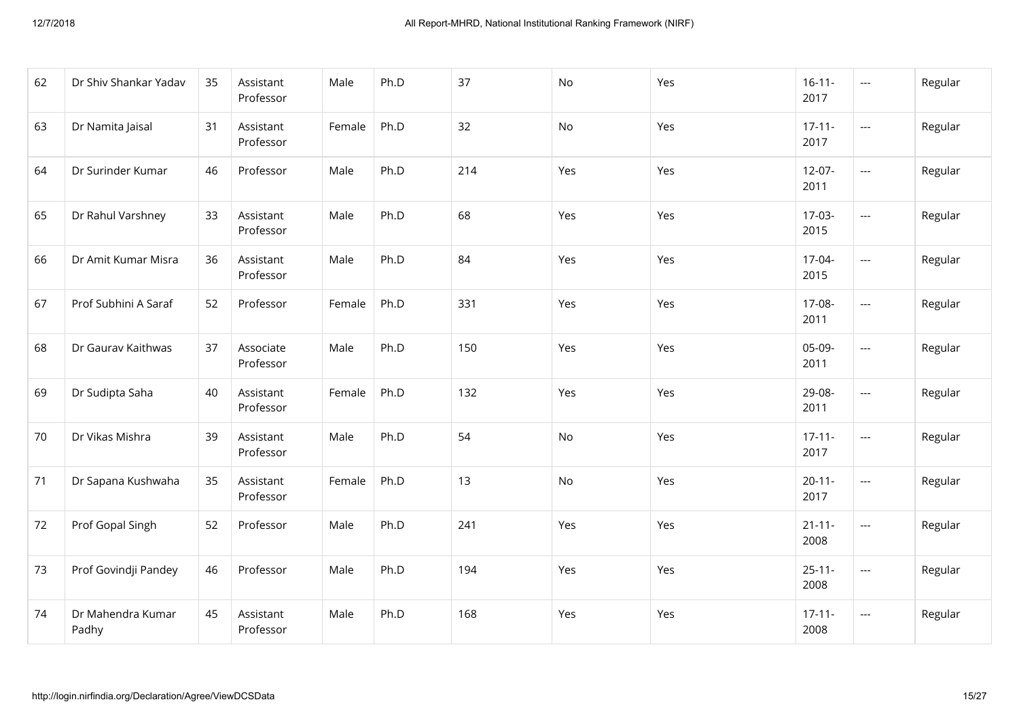| 62 | Dr Shiv Shankar Yadav      | 35 | Assistant<br>Professor | Male   | Ph.D | 37  | <b>No</b> | Yes | $16 - 11 -$<br>2017 | ---            | Regular |
|----|----------------------------|----|------------------------|--------|------|-----|-----------|-----|---------------------|----------------|---------|
| 63 | Dr Namita Jaisal           | 31 | Assistant<br>Professor | Female | Ph.D | 32  | No        | Yes | $17 - 11 -$<br>2017 | $\cdots$       | Regular |
| 64 | Dr Surinder Kumar          | 46 | Professor              | Male   | Ph.D | 214 | Yes       | Yes | $12-07-$<br>2011    | $\overline{a}$ | Regular |
| 65 | Dr Rahul Varshney          | 33 | Assistant<br>Professor | Male   | Ph.D | 68  | Yes       | Yes | $17-03-$<br>2015    | ---            | Regular |
| 66 | Dr Amit Kumar Misra        | 36 | Assistant<br>Professor | Male   | Ph.D | 84  | Yes       | Yes | 17-04-<br>2015      | ---            | Regular |
| 67 | Prof Subhini A Saraf       | 52 | Professor              | Female | Ph.D | 331 | Yes       | Yes | 17-08-<br>2011      | ---            | Regular |
| 68 | Dr Gaurav Kaithwas         | 37 | Associate<br>Professor | Male   | Ph.D | 150 | Yes       | Yes | 05-09-<br>2011      | ---            | Regular |
| 69 | Dr Sudipta Saha            | 40 | Assistant<br>Professor | Female | Ph.D | 132 | Yes       | Yes | 29-08-<br>2011      | ---            | Regular |
| 70 | Dr Vikas Mishra            | 39 | Assistant<br>Professor | Male   | Ph.D | 54  | No        | Yes | $17 - 11 -$<br>2017 | ---            | Regular |
| 71 | Dr Sapana Kushwaha         | 35 | Assistant<br>Professor | Female | Ph.D | 13  | No        | Yes | $20 - 11 -$<br>2017 | ---            | Regular |
| 72 | Prof Gopal Singh           | 52 | Professor              | Male   | Ph.D | 241 | Yes       | Yes | $21 - 11 -$<br>2008 | ---            | Regular |
| 73 | Prof Govindji Pandey       | 46 | Professor              | Male   | Ph.D | 194 | Yes       | Yes | $25 - 11 -$<br>2008 | ---            | Regular |
| 74 | Dr Mahendra Kumar<br>Padhy | 45 | Assistant<br>Professor | Male   | Ph.D | 168 | Yes       | Yes | $17 - 11 -$<br>2008 | ---            | Regular |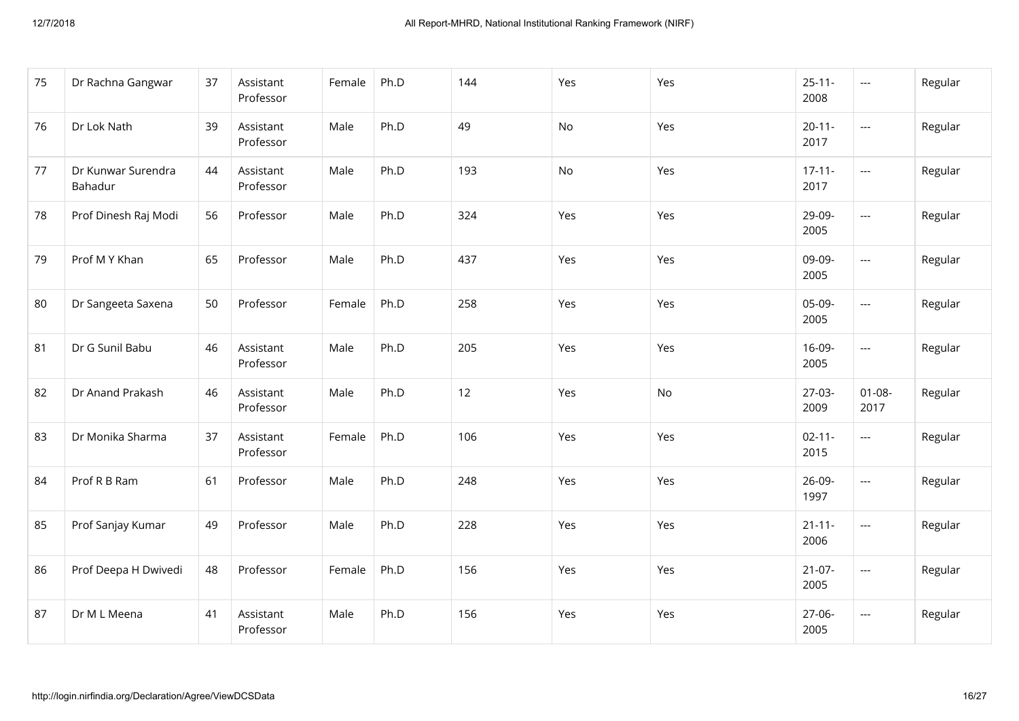| 75 | Dr Rachna Gangwar             | 37 | Assistant<br>Professor | Female | Ph.D | 144 | Yes | Yes       | $25 - 11 -$<br>2008 | $---$               | Regular |
|----|-------------------------------|----|------------------------|--------|------|-----|-----|-----------|---------------------|---------------------|---------|
| 76 | Dr Lok Nath                   | 39 | Assistant<br>Professor | Male   | Ph.D | 49  | No  | Yes       | $20 - 11 -$<br>2017 | $\overline{a}$      | Regular |
| 77 | Dr Kunwar Surendra<br>Bahadur | 44 | Assistant<br>Professor | Male   | Ph.D | 193 | No  | Yes       | $17 - 11 -$<br>2017 | $---$               | Regular |
| 78 | Prof Dinesh Raj Modi          | 56 | Professor              | Male   | Ph.D | 324 | Yes | Yes       | 29-09-<br>2005      | $\overline{a}$      | Regular |
| 79 | Prof M Y Khan                 | 65 | Professor              | Male   | Ph.D | 437 | Yes | Yes       | 09-09-<br>2005      | $\overline{a}$      | Regular |
| 80 | Dr Sangeeta Saxena            | 50 | Professor              | Female | Ph.D | 258 | Yes | Yes       | 05-09-<br>2005      | $---$               | Regular |
| 81 | Dr G Sunil Babu               | 46 | Assistant<br>Professor | Male   | Ph.D | 205 | Yes | Yes       | 16-09-<br>2005      | $---$               | Regular |
| 82 | Dr Anand Prakash              | 46 | Assistant<br>Professor | Male   | Ph.D | 12  | Yes | <b>No</b> | $27-03-$<br>2009    | $01 - 08 -$<br>2017 | Regular |
| 83 | Dr Monika Sharma              | 37 | Assistant<br>Professor | Female | Ph.D | 106 | Yes | Yes       | $02 - 11 -$<br>2015 | ---                 | Regular |
| 84 | Prof R B Ram                  | 61 | Professor              | Male   | Ph.D | 248 | Yes | Yes       | 26-09-<br>1997      | ---                 | Regular |
| 85 | Prof Sanjay Kumar             | 49 | Professor              | Male   | Ph.D | 228 | Yes | Yes       | $21 - 11 -$<br>2006 | $---$               | Regular |
| 86 | Prof Deepa H Dwivedi          | 48 | Professor              | Female | Ph.D | 156 | Yes | Yes       | $21-07-$<br>2005    | $\cdots$            | Regular |
| 87 | Dr M L Meena                  | 41 | Assistant<br>Professor | Male   | Ph.D | 156 | Yes | Yes       | 27-06-<br>2005      | $---$               | Regular |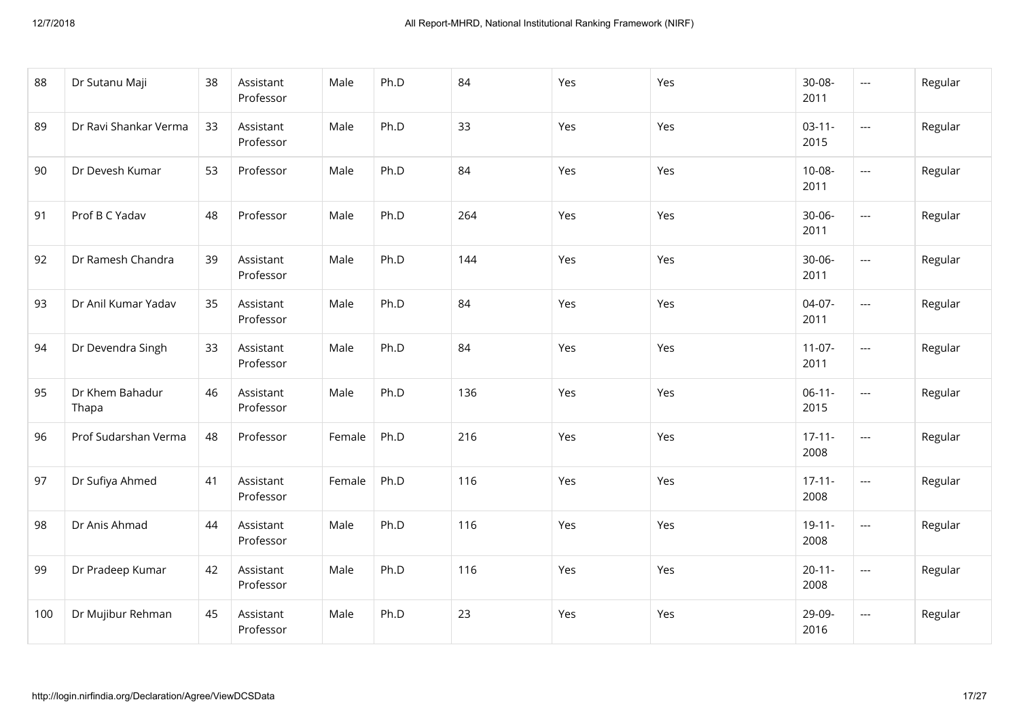| 88  | Dr Sutanu Maji           | 38 | Assistant<br>Professor | Male   | Ph.D | 84  | Yes | Yes | 30-08-<br>2011      | $\cdots$       | Regular |
|-----|--------------------------|----|------------------------|--------|------|-----|-----|-----|---------------------|----------------|---------|
| 89  | Dr Ravi Shankar Verma    | 33 | Assistant<br>Professor | Male   | Ph.D | 33  | Yes | Yes | $03 - 11 -$<br>2015 | $\cdots$       | Regular |
| 90  | Dr Devesh Kumar          | 53 | Professor              | Male   | Ph.D | 84  | Yes | Yes | $10-08-$<br>2011    | $\cdots$       | Regular |
| 91  | Prof B C Yadav           | 48 | Professor              | Male   | Ph.D | 264 | Yes | Yes | $30 - 06 -$<br>2011 | $\overline{a}$ | Regular |
| 92  | Dr Ramesh Chandra        | 39 | Assistant<br>Professor | Male   | Ph.D | 144 | Yes | Yes | $30 - 06 -$<br>2011 | $\overline{a}$ | Regular |
| 93  | Dr Anil Kumar Yadav      | 35 | Assistant<br>Professor | Male   | Ph.D | 84  | Yes | Yes | 04-07-<br>2011      | ---            | Regular |
| 94  | Dr Devendra Singh        | 33 | Assistant<br>Professor | Male   | Ph.D | 84  | Yes | Yes | $11-07-$<br>2011    | ---            | Regular |
| 95  | Dr Khem Bahadur<br>Thapa | 46 | Assistant<br>Professor | Male   | Ph.D | 136 | Yes | Yes | $06-11-$<br>2015    | ---            | Regular |
| 96  | Prof Sudarshan Verma     | 48 | Professor              | Female | Ph.D | 216 | Yes | Yes | $17 - 11 -$<br>2008 | $\overline{a}$ | Regular |
| 97  | Dr Sufiya Ahmed          | 41 | Assistant<br>Professor | Female | Ph.D | 116 | Yes | Yes | $17 - 11 -$<br>2008 | $\overline{a}$ | Regular |
| 98  | Dr Anis Ahmad            | 44 | Assistant<br>Professor | Male   | Ph.D | 116 | Yes | Yes | $19 - 11 -$<br>2008 | ---            | Regular |
| 99  | Dr Pradeep Kumar         | 42 | Assistant<br>Professor | Male   | Ph.D | 116 | Yes | Yes | $20 - 11 -$<br>2008 | ---            | Regular |
| 100 | Dr Mujibur Rehman        | 45 | Assistant<br>Professor | Male   | Ph.D | 23  | Yes | Yes | 29-09-<br>2016      | ---            | Regular |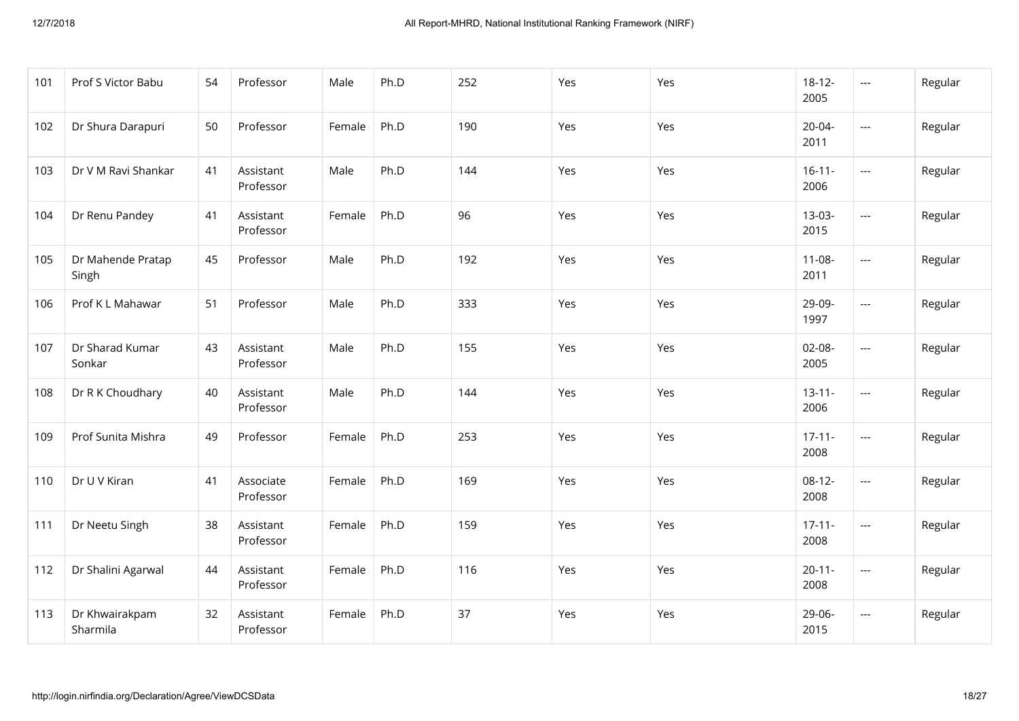| 101 | Prof S Victor Babu         | 54 | Professor              | Male   | Ph.D | 252 | Yes | Yes | $18 - 12 -$<br>2005 | $---$                    | Regular |
|-----|----------------------------|----|------------------------|--------|------|-----|-----|-----|---------------------|--------------------------|---------|
| 102 | Dr Shura Darapuri          | 50 | Professor              | Female | Ph.D | 190 | Yes | Yes | $20 - 04 -$<br>2011 | $---$                    | Regular |
| 103 | Dr V M Ravi Shankar        | 41 | Assistant<br>Professor | Male   | Ph.D | 144 | Yes | Yes | $16 - 11 -$<br>2006 | $\overline{a}$           | Regular |
| 104 | Dr Renu Pandey             | 41 | Assistant<br>Professor | Female | Ph.D | 96  | Yes | Yes | $13-03-$<br>2015    | $\overline{\phantom{a}}$ | Regular |
| 105 | Dr Mahende Pratap<br>Singh | 45 | Professor              | Male   | Ph.D | 192 | Yes | Yes | $11 - 08 -$<br>2011 | $\overline{\phantom{a}}$ | Regular |
| 106 | Prof K L Mahawar           | 51 | Professor              | Male   | Ph.D | 333 | Yes | Yes | 29-09-<br>1997      | ---                      | Regular |
| 107 | Dr Sharad Kumar<br>Sonkar  | 43 | Assistant<br>Professor | Male   | Ph.D | 155 | Yes | Yes | $02 - 08 -$<br>2005 | $\cdots$                 | Regular |
| 108 | Dr R K Choudhary           | 40 | Assistant<br>Professor | Male   | Ph.D | 144 | Yes | Yes | $13 - 11 -$<br>2006 | $\cdots$                 | Regular |
| 109 | Prof Sunita Mishra         | 49 | Professor              | Female | Ph.D | 253 | Yes | Yes | $17 - 11 -$<br>2008 | ---                      | Regular |
| 110 | Dr U V Kiran               | 41 | Associate<br>Professor | Female | Ph.D | 169 | Yes | Yes | $08-12-$<br>2008    | ---                      | Regular |
| 111 | Dr Neetu Singh             | 38 | Assistant<br>Professor | Female | Ph.D | 159 | Yes | Yes | $17 - 11 -$<br>2008 | $\overline{\phantom{a}}$ | Regular |
| 112 | Dr Shalini Agarwal         | 44 | Assistant<br>Professor | Female | Ph.D | 116 | Yes | Yes | $20 - 11 -$<br>2008 | $\cdots$                 | Regular |
| 113 | Dr Khwairakpam<br>Sharmila | 32 | Assistant<br>Professor | Female | Ph.D | 37  | Yes | Yes | 29-06-<br>2015      | ---                      | Regular |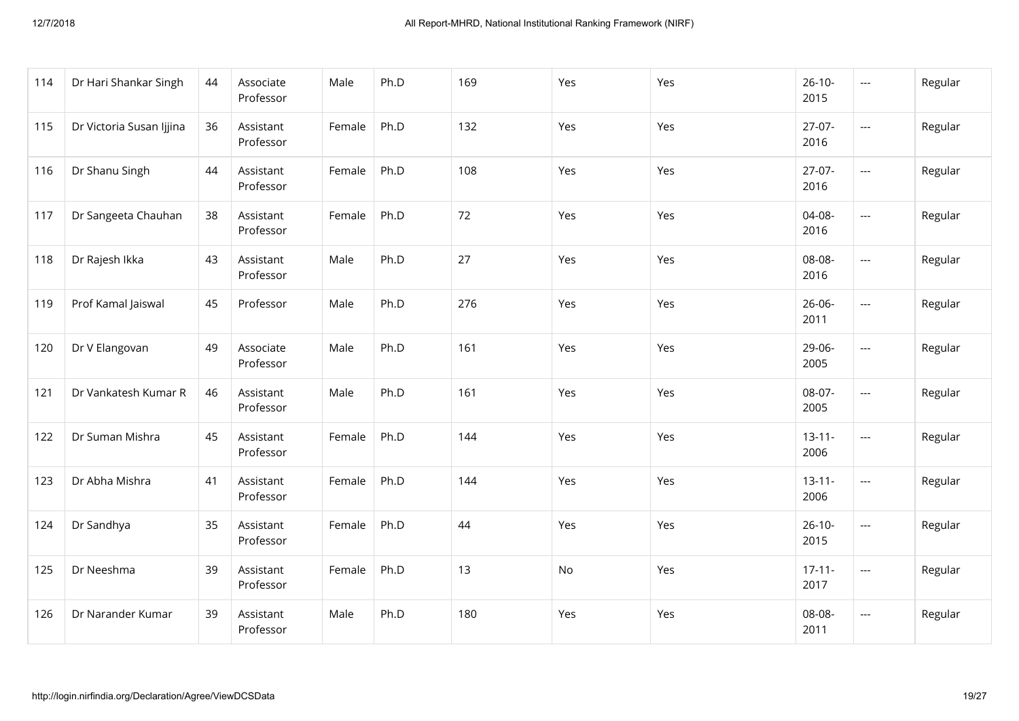| 114 | Dr Hari Shankar Singh    | 44 | Associate<br>Professor | Male   | Ph.D | 169 | Yes | Yes | $26-10-$<br>2015    | $---$                    | Regular |
|-----|--------------------------|----|------------------------|--------|------|-----|-----|-----|---------------------|--------------------------|---------|
| 115 | Dr Victoria Susan Ijjina | 36 | Assistant<br>Professor | Female | Ph.D | 132 | Yes | Yes | $27-07-$<br>2016    | $\cdots$                 | Regular |
| 116 | Dr Shanu Singh           | 44 | Assistant<br>Professor | Female | Ph.D | 108 | Yes | Yes | $27-07-$<br>2016    | ---                      | Regular |
| 117 | Dr Sangeeta Chauhan      | 38 | Assistant<br>Professor | Female | Ph.D | 72  | Yes | Yes | 04-08-<br>2016      | ---                      | Regular |
| 118 | Dr Rajesh Ikka           | 43 | Assistant<br>Professor | Male   | Ph.D | 27  | Yes | Yes | 08-08-<br>2016      | ---                      | Regular |
| 119 | Prof Kamal Jaiswal       | 45 | Professor              | Male   | Ph.D | 276 | Yes | Yes | $26 - 06 -$<br>2011 | $---$                    | Regular |
| 120 | Dr V Elangovan           | 49 | Associate<br>Professor | Male   | Ph.D | 161 | Yes | Yes | 29-06-<br>2005      | $---$                    | Regular |
| 121 | Dr Vankatesh Kumar R     | 46 | Assistant<br>Professor | Male   | Ph.D | 161 | Yes | Yes | 08-07-<br>2005      | ---                      | Regular |
| 122 | Dr Suman Mishra          | 45 | Assistant<br>Professor | Female | Ph.D | 144 | Yes | Yes | $13 - 11 -$<br>2006 | ---                      | Regular |
| 123 | Dr Abha Mishra           | 41 | Assistant<br>Professor | Female | Ph.D | 144 | Yes | Yes | $13 - 11 -$<br>2006 | ---                      | Regular |
| 124 | Dr Sandhya               | 35 | Assistant<br>Professor | Female | Ph.D | 44  | Yes | Yes | $26-10-$<br>2015    | $\overline{\phantom{a}}$ | Regular |
| 125 | Dr Neeshma               | 39 | Assistant<br>Professor | Female | Ph.D | 13  | No  | Yes | $17 - 11 -$<br>2017 | $\qquad \qquad - -$      | Regular |
| 126 | Dr Narander Kumar        | 39 | Assistant<br>Professor | Male   | Ph.D | 180 | Yes | Yes | 08-08-<br>2011      | $\qquad \qquad - -$      | Regular |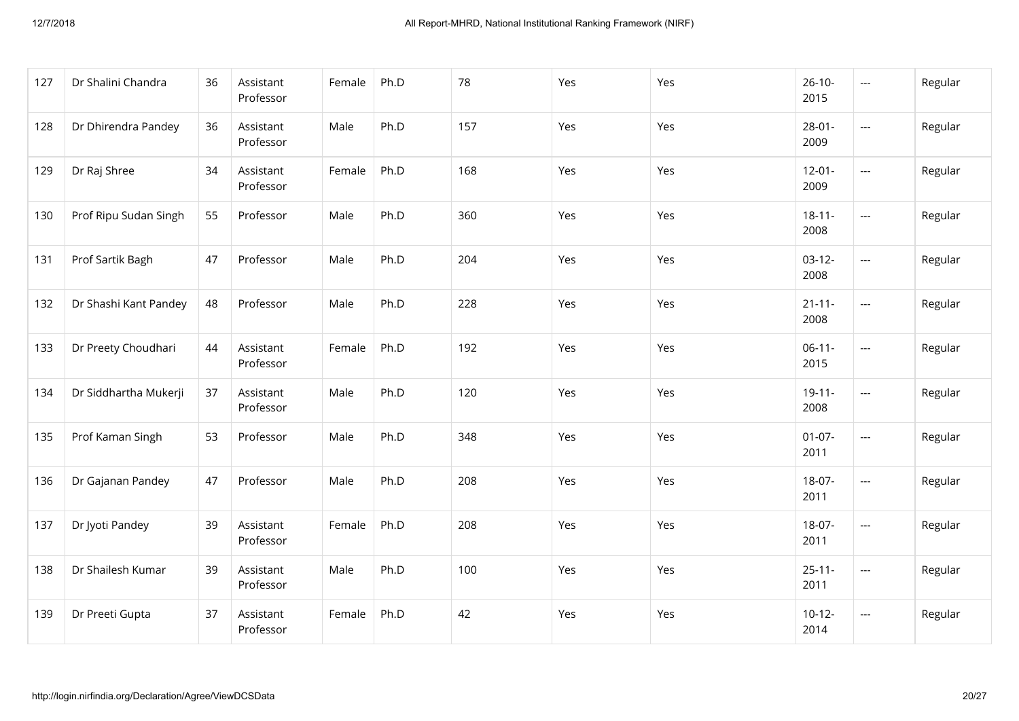| 127 | Dr Shalini Chandra    | 36 | Assistant<br>Professor | Female | Ph.D | 78  | Yes | Yes | $26-10-$<br>2015    | $\hspace{0.05cm}---$     | Regular |
|-----|-----------------------|----|------------------------|--------|------|-----|-----|-----|---------------------|--------------------------|---------|
| 128 | Dr Dhirendra Pandey   | 36 | Assistant<br>Professor | Male   | Ph.D | 157 | Yes | Yes | $28 - 01 -$<br>2009 | $\hspace{0.05cm} \ldots$ | Regular |
| 129 | Dr Raj Shree          | 34 | Assistant<br>Professor | Female | Ph.D | 168 | Yes | Yes | $12 - 01 -$<br>2009 | $\hspace{0.05cm} \ldots$ | Regular |
| 130 | Prof Ripu Sudan Singh | 55 | Professor              | Male   | Ph.D | 360 | Yes | Yes | $18 - 11 -$<br>2008 | $\overline{\phantom{a}}$ | Regular |
| 131 | Prof Sartik Bagh      | 47 | Professor              | Male   | Ph.D | 204 | Yes | Yes | $03-12-$<br>2008    | $\overline{\phantom{a}}$ | Regular |
| 132 | Dr Shashi Kant Pandey | 48 | Professor              | Male   | Ph.D | 228 | Yes | Yes | $21 - 11 -$<br>2008 | $\hspace{0.05cm}\ldots$  | Regular |
| 133 | Dr Preety Choudhari   | 44 | Assistant<br>Professor | Female | Ph.D | 192 | Yes | Yes | $06-11-$<br>2015    | $\hspace{0.05cm} \ldots$ | Regular |
| 134 | Dr Siddhartha Mukerji | 37 | Assistant<br>Professor | Male   | Ph.D | 120 | Yes | Yes | $19-11-$<br>2008    | $\hspace{0.05cm} \ldots$ | Regular |
| 135 | Prof Kaman Singh      | 53 | Professor              | Male   | Ph.D | 348 | Yes | Yes | $01 - 07 -$<br>2011 | $\overline{\phantom{a}}$ | Regular |
| 136 | Dr Gajanan Pandey     | 47 | Professor              | Male   | Ph.D | 208 | Yes | Yes | 18-07-<br>2011      | $\hspace{0.05cm} \ldots$ | Regular |
| 137 | Dr Jyoti Pandey       | 39 | Assistant<br>Professor | Female | Ph.D | 208 | Yes | Yes | 18-07-<br>2011      | $\hspace{0.05cm} \ldots$ | Regular |
| 138 | Dr Shailesh Kumar     | 39 | Assistant<br>Professor | Male   | Ph.D | 100 | Yes | Yes | $25 - 11 -$<br>2011 | $\hspace{0.05cm} \ldots$ | Regular |
| 139 | Dr Preeti Gupta       | 37 | Assistant<br>Professor | Female | Ph.D | 42  | Yes | Yes | $10-12-$<br>2014    | $\hspace{0.05cm} \ldots$ | Regular |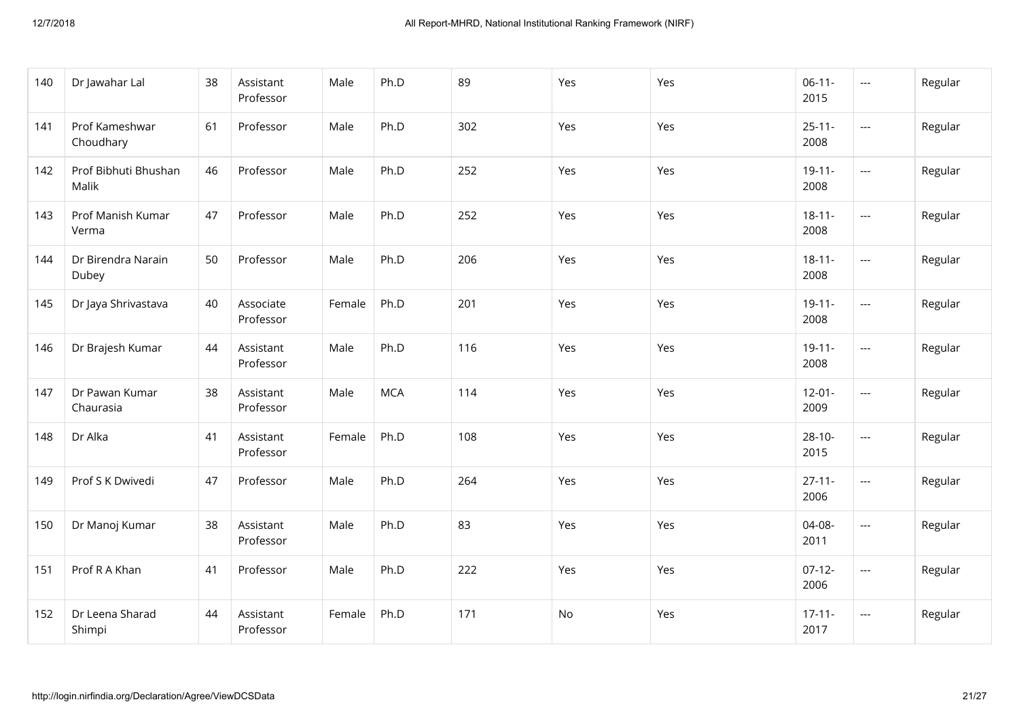| 140 | Dr Jawahar Lal                | 38 | Assistant<br>Professor | Male   | Ph.D       | 89  | Yes | Yes | $06-11-$<br>2015    | $\cdots$                 | Regular |
|-----|-------------------------------|----|------------------------|--------|------------|-----|-----|-----|---------------------|--------------------------|---------|
| 141 | Prof Kameshwar<br>Choudhary   | 61 | Professor              | Male   | Ph.D       | 302 | Yes | Yes | $25 - 11 -$<br>2008 | $---$                    | Regular |
| 142 | Prof Bibhuti Bhushan<br>Malik | 46 | Professor              | Male   | Ph.D       | 252 | Yes | Yes | $19 - 11 -$<br>2008 | ---                      | Regular |
| 143 | Prof Manish Kumar<br>Verma    | 47 | Professor              | Male   | Ph.D       | 252 | Yes | Yes | $18 - 11 -$<br>2008 | $\overline{\phantom{a}}$ | Regular |
| 144 | Dr Birendra Narain<br>Dubey   | 50 | Professor              | Male   | Ph.D       | 206 | Yes | Yes | $18 - 11 -$<br>2008 | $\overline{\phantom{a}}$ | Regular |
| 145 | Dr Jaya Shrivastava           | 40 | Associate<br>Professor | Female | Ph.D       | 201 | Yes | Yes | $19 - 11 -$<br>2008 | $---$                    | Regular |
| 146 | Dr Brajesh Kumar              | 44 | Assistant<br>Professor | Male   | Ph.D       | 116 | Yes | Yes | $19 - 11 -$<br>2008 | $---$                    | Regular |
| 147 | Dr Pawan Kumar<br>Chaurasia   | 38 | Assistant<br>Professor | Male   | <b>MCA</b> | 114 | Yes | Yes | $12 - 01 -$<br>2009 | ---                      | Regular |
| 148 | Dr Alka                       | 41 | Assistant<br>Professor | Female | Ph.D       | 108 | Yes | Yes | $28-10-$<br>2015    | $\overline{a}$           | Regular |
| 149 | Prof S K Dwivedi              | 47 | Professor              | Male   | Ph.D       | 264 | Yes | Yes | $27 - 11 -$<br>2006 | $\overline{a}$           | Regular |
| 150 | Dr Manoj Kumar                | 38 | Assistant<br>Professor | Male   | Ph.D       | 83  | Yes | Yes | 04-08-<br>2011      | ---                      | Regular |
| 151 | Prof R A Khan                 | 41 | Professor              | Male   | Ph.D       | 222 | Yes | Yes | $07-12-$<br>2006    | ---                      | Regular |
| 152 | Dr Leena Sharad<br>Shimpi     | 44 | Assistant<br>Professor | Female | Ph.D       | 171 | No  | Yes | $17 - 11 -$<br>2017 | ---                      | Regular |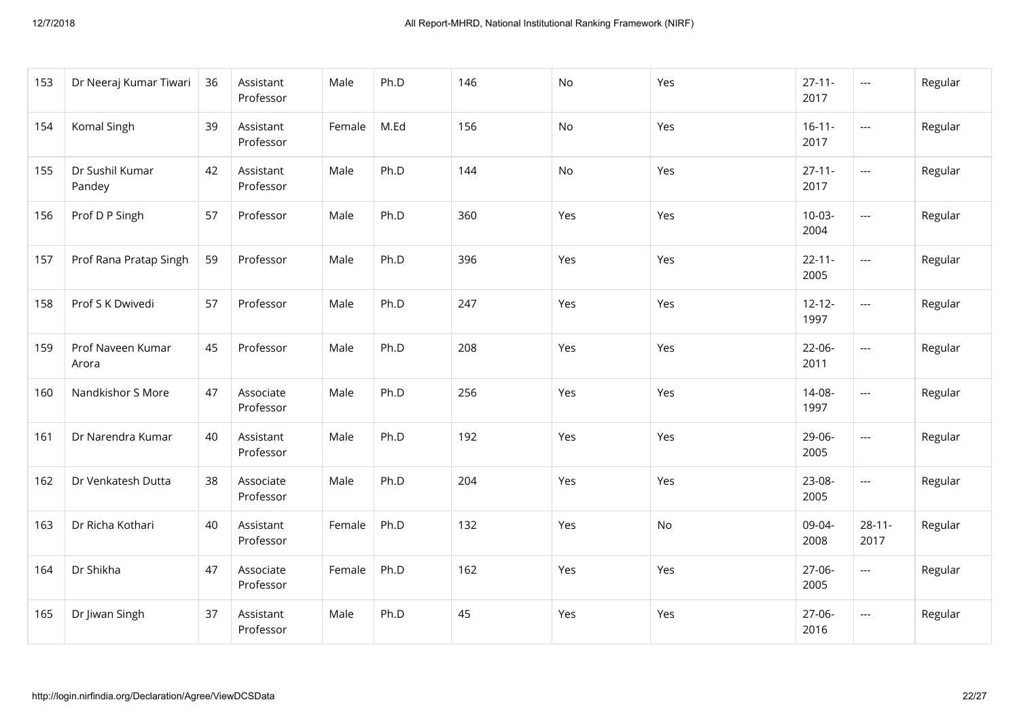| 153 | Dr Neeraj Kumar Tiwari     | 36 | Assistant<br>Professor | Male   | Ph.D | 146 | No  | Yes | $27 - 11 -$<br>2017 | $\cdots$                 | Regular |
|-----|----------------------------|----|------------------------|--------|------|-----|-----|-----|---------------------|--------------------------|---------|
| 154 | Komal Singh                | 39 | Assistant<br>Professor | Female | M.Ed | 156 | No  | Yes | $16 - 11 -$<br>2017 | $\qquad \qquad -$        | Regular |
| 155 | Dr Sushil Kumar<br>Pandey  | 42 | Assistant<br>Professor | Male   | Ph.D | 144 | No  | Yes | $27 - 11 -$<br>2017 | $\overline{\phantom{a}}$ | Regular |
| 156 | Prof D P Singh             | 57 | Professor              | Male   | Ph.D | 360 | Yes | Yes | $10-03-$<br>2004    | $\overline{a}$           | Regular |
| 157 | Prof Rana Pratap Singh     | 59 | Professor              | Male   | Ph.D | 396 | Yes | Yes | $22 - 11 -$<br>2005 | $\overline{a}$           | Regular |
| 158 | Prof S K Dwivedi           | 57 | Professor              | Male   | Ph.D | 247 | Yes | Yes | $12 - 12 -$<br>1997 | $\qquad \qquad -$        | Regular |
| 159 | Prof Naveen Kumar<br>Arora | 45 | Professor              | Male   | Ph.D | 208 | Yes | Yes | 22-06-<br>2011      | $\cdots$                 | Regular |
| 160 | Nandkishor S More          | 47 | Associate<br>Professor | Male   | Ph.D | 256 | Yes | Yes | 14-08-<br>1997      | ---                      | Regular |
| 161 | Dr Narendra Kumar          | 40 | Assistant<br>Professor | Male   | Ph.D | 192 | Yes | Yes | 29-06-<br>2005      | $\overline{a}$           | Regular |
| 162 | Dr Venkatesh Dutta         | 38 | Associate<br>Professor | Male   | Ph.D | 204 | Yes | Yes | 23-08-<br>2005      | ---                      | Regular |
| 163 | Dr Richa Kothari           | 40 | Assistant<br>Professor | Female | Ph.D | 132 | Yes | No  | 09-04-<br>2008      | $28 - 11 -$<br>2017      | Regular |
| 164 | Dr Shikha                  | 47 | Associate<br>Professor | Female | Ph.D | 162 | Yes | Yes | 27-06-<br>2005      | ---                      | Regular |
| 165 | Dr Jiwan Singh             | 37 | Assistant<br>Professor | Male   | Ph.D | 45  | Yes | Yes | 27-06-<br>2016      | $---$                    | Regular |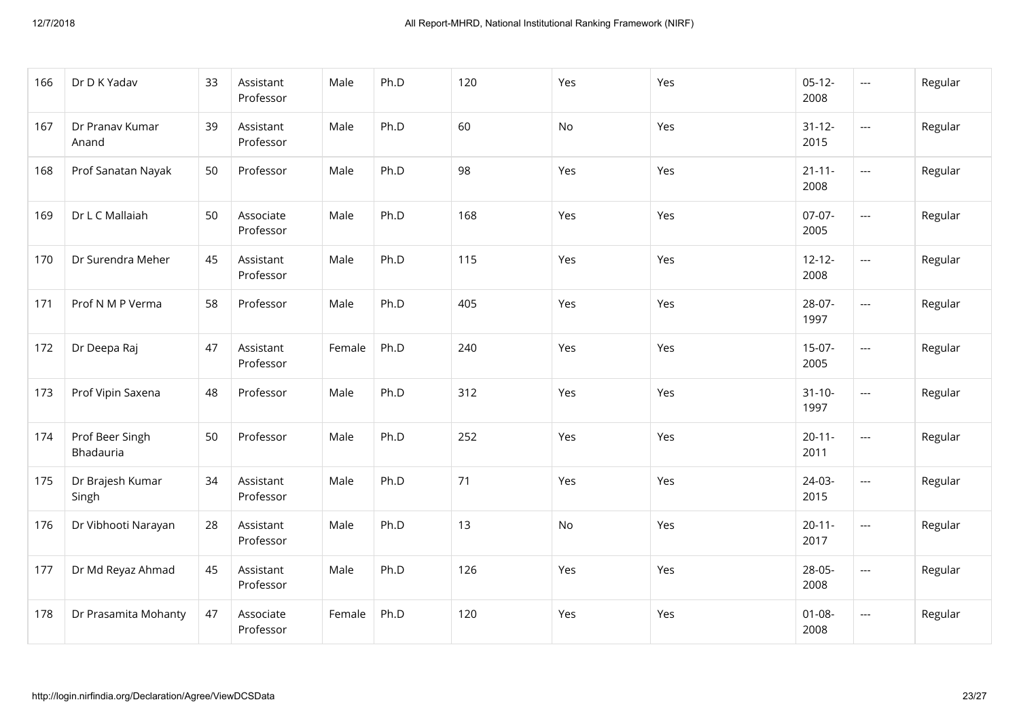| 166 | Dr D K Yadav                 | 33 | Assistant<br>Professor | Male   | Ph.D | 120 | Yes | Yes | $05-12-$<br>2008    | $---$                    | Regular |
|-----|------------------------------|----|------------------------|--------|------|-----|-----|-----|---------------------|--------------------------|---------|
| 167 | Dr Pranav Kumar<br>Anand     | 39 | Assistant<br>Professor | Male   | Ph.D | 60  | No  | Yes | $31 - 12 -$<br>2015 | $\overline{\phantom{a}}$ | Regular |
| 168 | Prof Sanatan Nayak           | 50 | Professor              | Male   | Ph.D | 98  | Yes | Yes | $21 - 11 -$<br>2008 | $---$                    | Regular |
| 169 | Dr L C Mallaiah              | 50 | Associate<br>Professor | Male   | Ph.D | 168 | Yes | Yes | $07-07-$<br>2005    | $\overline{a}$           | Regular |
| 170 | Dr Surendra Meher            | 45 | Assistant<br>Professor | Male   | Ph.D | 115 | Yes | Yes | $12 - 12 -$<br>2008 | $\overline{a}$           | Regular |
| 171 | Prof N M P Verma             | 58 | Professor              | Male   | Ph.D | 405 | Yes | Yes | 28-07-<br>1997      | $---$                    | Regular |
| 172 | Dr Deepa Raj                 | 47 | Assistant<br>Professor | Female | Ph.D | 240 | Yes | Yes | $15-07-$<br>2005    | ---                      | Regular |
| 173 | Prof Vipin Saxena            | 48 | Professor              | Male   | Ph.D | 312 | Yes | Yes | $31 - 10 -$<br>1997 | $\overline{\phantom{a}}$ | Regular |
| 174 | Prof Beer Singh<br>Bhadauria | 50 | Professor              | Male   | Ph.D | 252 | Yes | Yes | $20 - 11 -$<br>2011 | ---                      | Regular |
| 175 | Dr Brajesh Kumar<br>Singh    | 34 | Assistant<br>Professor | Male   | Ph.D | 71  | Yes | Yes | 24-03-<br>2015      | $---$                    | Regular |
| 176 | Dr Vibhooti Narayan          | 28 | Assistant<br>Professor | Male   | Ph.D | 13  | No  | Yes | $20 - 11 -$<br>2017 | $---$                    | Regular |
| 177 | Dr Md Reyaz Ahmad            | 45 | Assistant<br>Professor | Male   | Ph.D | 126 | Yes | Yes | 28-05-<br>2008      | $\qquad \qquad - -$      | Regular |
| 178 | Dr Prasamita Mohanty         | 47 | Associate<br>Professor | Female | Ph.D | 120 | Yes | Yes | $01 - 08 -$<br>2008 | $---$                    | Regular |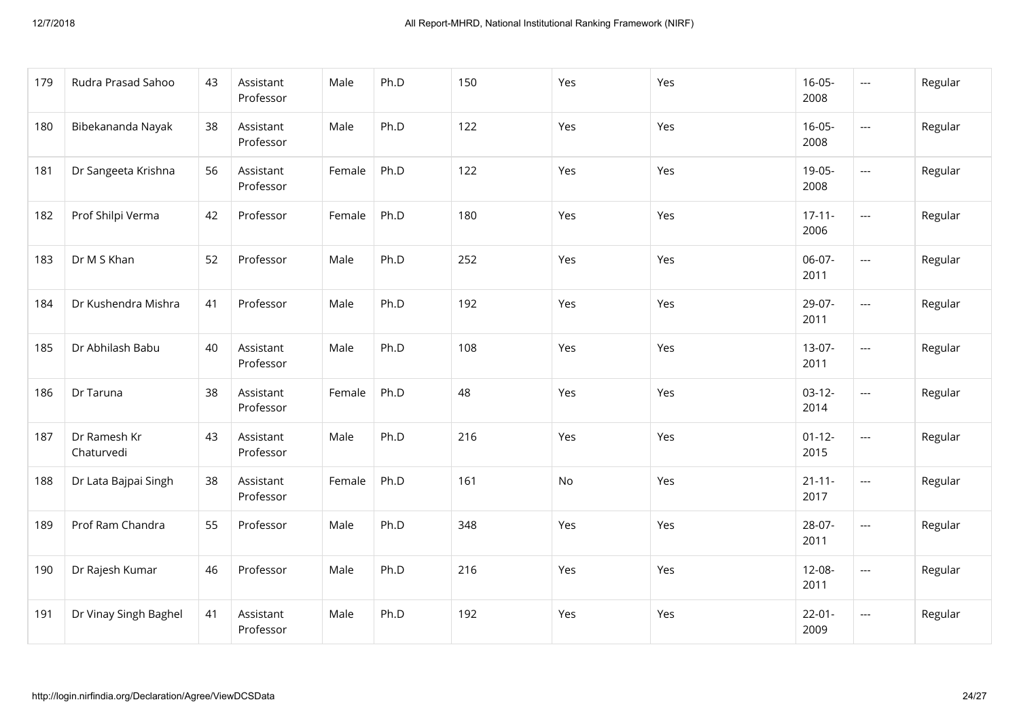| 179 | Rudra Prasad Sahoo         | 43 | Assistant<br>Professor | Male   | Ph.D | 150 | Yes | Yes | $16 - 05 -$<br>2008 | ---                      | Regular |
|-----|----------------------------|----|------------------------|--------|------|-----|-----|-----|---------------------|--------------------------|---------|
| 180 | Bibekananda Nayak          | 38 | Assistant<br>Professor | Male   | Ph.D | 122 | Yes | Yes | $16-05-$<br>2008    | $---$                    | Regular |
| 181 | Dr Sangeeta Krishna        | 56 | Assistant<br>Professor | Female | Ph.D | 122 | Yes | Yes | 19-05-<br>2008      | $\overline{a}$           | Regular |
| 182 | Prof Shilpi Verma          | 42 | Professor              | Female | Ph.D | 180 | Yes | Yes | $17 - 11 -$<br>2006 | ---                      | Regular |
| 183 | Dr M S Khan                | 52 | Professor              | Male   | Ph.D | 252 | Yes | Yes | 06-07-<br>2011      | $\overline{\phantom{a}}$ | Regular |
| 184 | Dr Kushendra Mishra        | 41 | Professor              | Male   | Ph.D | 192 | Yes | Yes | 29-07-<br>2011      | $---$                    | Regular |
| 185 | Dr Abhilash Babu           | 40 | Assistant<br>Professor | Male   | Ph.D | 108 | Yes | Yes | $13-07-$<br>2011    | ---                      | Regular |
| 186 | Dr Taruna                  | 38 | Assistant<br>Professor | Female | Ph.D | 48  | Yes | Yes | $03-12-$<br>2014    | ---                      | Regular |
| 187 | Dr Ramesh Kr<br>Chaturvedi | 43 | Assistant<br>Professor | Male   | Ph.D | 216 | Yes | Yes | $01 - 12 -$<br>2015 | $\overline{\phantom{a}}$ | Regular |
| 188 | Dr Lata Bajpai Singh       | 38 | Assistant<br>Professor | Female | Ph.D | 161 | No  | Yes | $21 - 11 -$<br>2017 | $\overline{\phantom{a}}$ | Regular |
| 189 | Prof Ram Chandra           | 55 | Professor              | Male   | Ph.D | 348 | Yes | Yes | 28-07-<br>2011      | ---                      | Regular |
| 190 | Dr Rajesh Kumar            | 46 | Professor              | Male   | Ph.D | 216 | Yes | Yes | 12-08-<br>2011      | ---                      | Regular |
| 191 | Dr Vinay Singh Baghel      | 41 | Assistant<br>Professor | Male   | Ph.D | 192 | Yes | Yes | $22 - 01 -$<br>2009 | $\cdots$                 | Regular |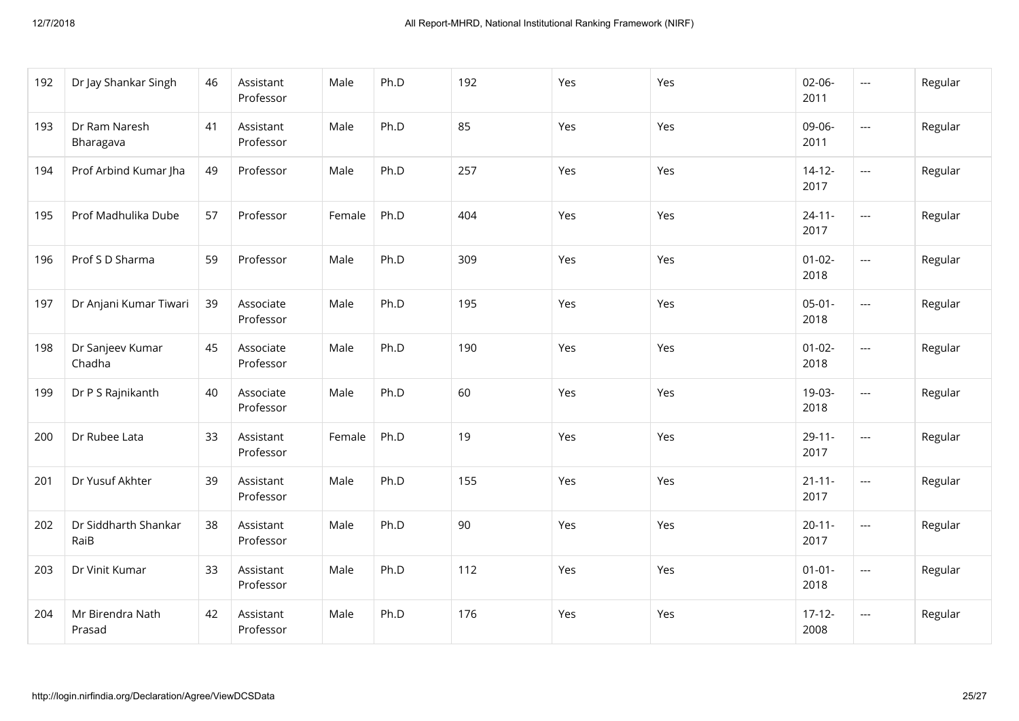| 192 | Dr Jay Shankar Singh         | 46 | Assistant<br>Professor | Male   | Ph.D | 192 | Yes | Yes | $02 - 06 -$<br>2011 | $---$          | Regular |
|-----|------------------------------|----|------------------------|--------|------|-----|-----|-----|---------------------|----------------|---------|
| 193 | Dr Ram Naresh<br>Bharagava   | 41 | Assistant<br>Professor | Male   | Ph.D | 85  | Yes | Yes | 09-06-<br>2011      | $---$          | Regular |
| 194 | Prof Arbind Kumar Jha        | 49 | Professor              | Male   | Ph.D | 257 | Yes | Yes | $14 - 12 -$<br>2017 | $---$          | Regular |
| 195 | Prof Madhulika Dube          | 57 | Professor              | Female | Ph.D | 404 | Yes | Yes | $24 - 11 -$<br>2017 | $\overline{a}$ | Regular |
| 196 | Prof S D Sharma              | 59 | Professor              | Male   | Ph.D | 309 | Yes | Yes | $01 - 02 -$<br>2018 | $\overline{a}$ | Regular |
| 197 | Dr Anjani Kumar Tiwari       | 39 | Associate<br>Professor | Male   | Ph.D | 195 | Yes | Yes | $05-01-$<br>2018    | ---            | Regular |
| 198 | Dr Sanjeev Kumar<br>Chadha   | 45 | Associate<br>Professor | Male   | Ph.D | 190 | Yes | Yes | $01-02-$<br>2018    | ---            | Regular |
| 199 | Dr P S Rajnikanth            | 40 | Associate<br>Professor | Male   | Ph.D | 60  | Yes | Yes | 19-03-<br>2018      | ---            | Regular |
| 200 | Dr Rubee Lata                | 33 | Assistant<br>Professor | Female | Ph.D | 19  | Yes | Yes | $29 - 11 -$<br>2017 | $\overline{a}$ | Regular |
| 201 | Dr Yusuf Akhter              | 39 | Assistant<br>Professor | Male   | Ph.D | 155 | Yes | Yes | $21 - 11 -$<br>2017 | ---            | Regular |
| 202 | Dr Siddharth Shankar<br>RaiB | 38 | Assistant<br>Professor | Male   | Ph.D | 90  | Yes | Yes | $20 - 11 -$<br>2017 | ---            | Regular |
| 203 | Dr Vinit Kumar               | 33 | Assistant<br>Professor | Male   | Ph.D | 112 | Yes | Yes | $01 - 01 -$<br>2018 | ---            | Regular |
| 204 | Mr Birendra Nath<br>Prasad   | 42 | Assistant<br>Professor | Male   | Ph.D | 176 | Yes | Yes | $17-12-$<br>2008    | ---            | Regular |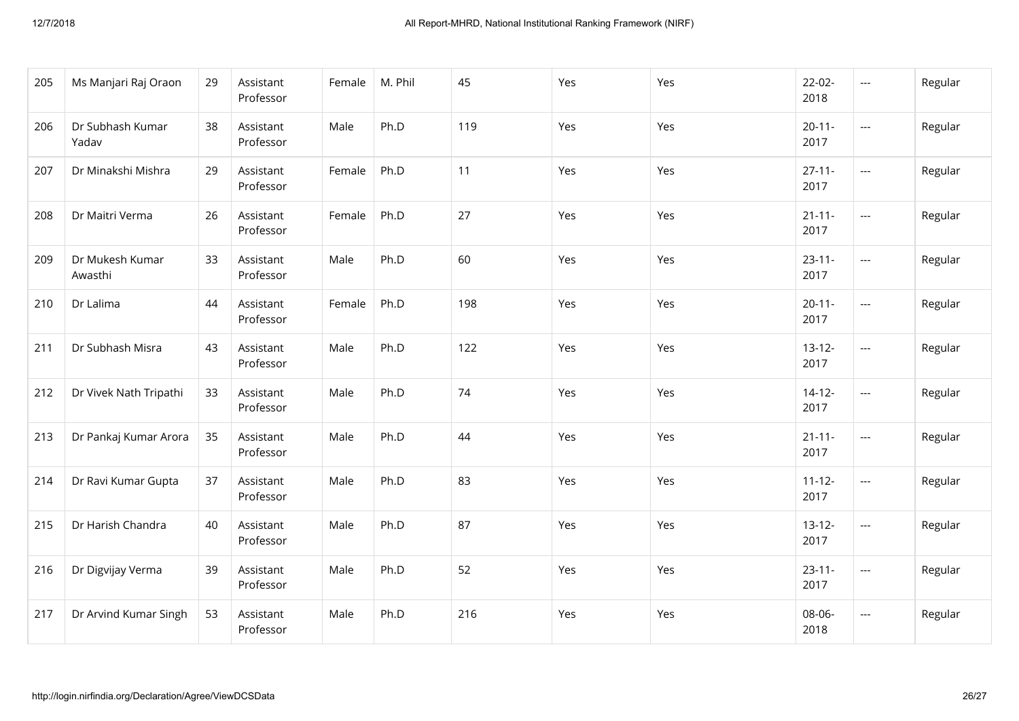| 205 | Ms Manjari Raj Oraon       | 29 | Assistant<br>Professor | Female | M. Phil | 45  | Yes | Yes | $22 - 02 -$<br>2018 | $\qquad \qquad -\qquad -$ | Regular |
|-----|----------------------------|----|------------------------|--------|---------|-----|-----|-----|---------------------|---------------------------|---------|
| 206 | Dr Subhash Kumar<br>Yadav  | 38 | Assistant<br>Professor | Male   | Ph.D    | 119 | Yes | Yes | $20 - 11 -$<br>2017 | $\cdots$                  | Regular |
| 207 | Dr Minakshi Mishra         | 29 | Assistant<br>Professor | Female | Ph.D    | 11  | Yes | Yes | $27 - 11 -$<br>2017 | ---                       | Regular |
| 208 | Dr Maitri Verma            | 26 | Assistant<br>Professor | Female | Ph.D    | 27  | Yes | Yes | $21 - 11 -$<br>2017 | ---                       | Regular |
| 209 | Dr Mukesh Kumar<br>Awasthi | 33 | Assistant<br>Professor | Male   | Ph.D    | 60  | Yes | Yes | $23 - 11 -$<br>2017 | $\overline{\phantom{a}}$  | Regular |
| 210 | Dr Lalima                  | 44 | Assistant<br>Professor | Female | Ph.D    | 198 | Yes | Yes | $20 - 11 -$<br>2017 | $---$                     | Regular |
| 211 | Dr Subhash Misra           | 43 | Assistant<br>Professor | Male   | Ph.D    | 122 | Yes | Yes | $13 - 12 -$<br>2017 | ---                       | Regular |
| 212 | Dr Vivek Nath Tripathi     | 33 | Assistant<br>Professor | Male   | Ph.D    | 74  | Yes | Yes | $14 - 12 -$<br>2017 | ---                       | Regular |
| 213 | Dr Pankaj Kumar Arora      | 35 | Assistant<br>Professor | Male   | Ph.D    | 44  | Yes | Yes | $21 - 11 -$<br>2017 | ---                       | Regular |
| 214 | Dr Ravi Kumar Gupta        | 37 | Assistant<br>Professor | Male   | Ph.D    | 83  | Yes | Yes | $11 - 12 -$<br>2017 | ---                       | Regular |
| 215 | Dr Harish Chandra          | 40 | Assistant<br>Professor | Male   | Ph.D    | 87  | Yes | Yes | $13-12-$<br>2017    | ---                       | Regular |
| 216 | Dr Digvijay Verma          | 39 | Assistant<br>Professor | Male   | Ph.D    | 52  | Yes | Yes | $23 - 11 -$<br>2017 | $\qquad \qquad - -$       | Regular |
| 217 | Dr Arvind Kumar Singh      | 53 | Assistant<br>Professor | Male   | Ph.D    | 216 | Yes | Yes | 08-06-<br>2018      | $---$                     | Regular |